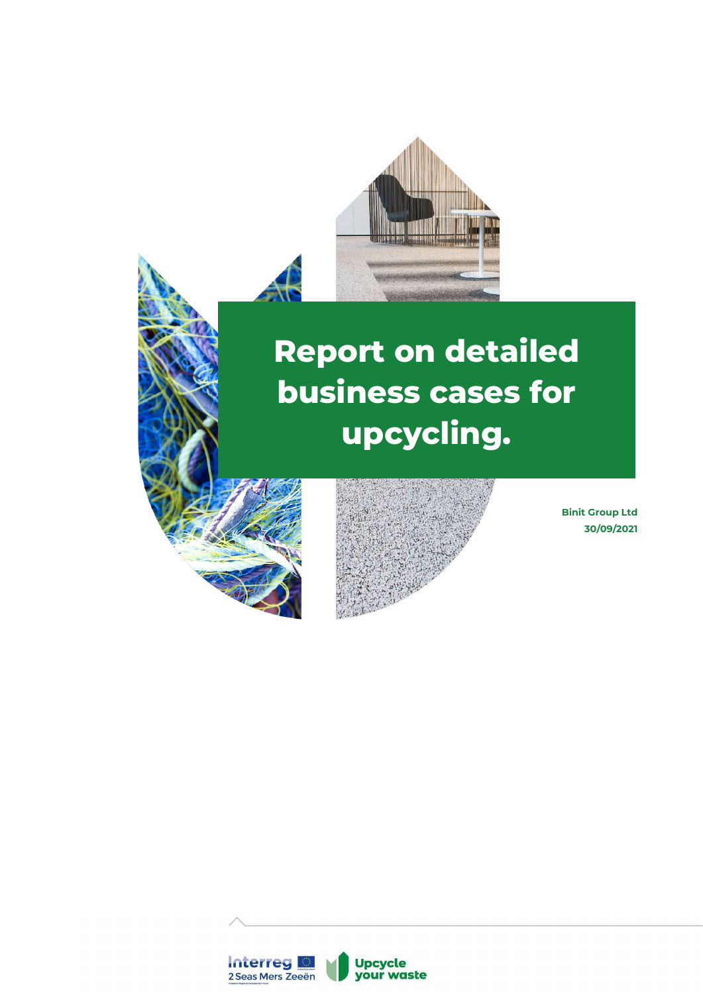

# **Report on detailed business cases for upcycling.**





**Binit Group Ltd 30/09/2021**

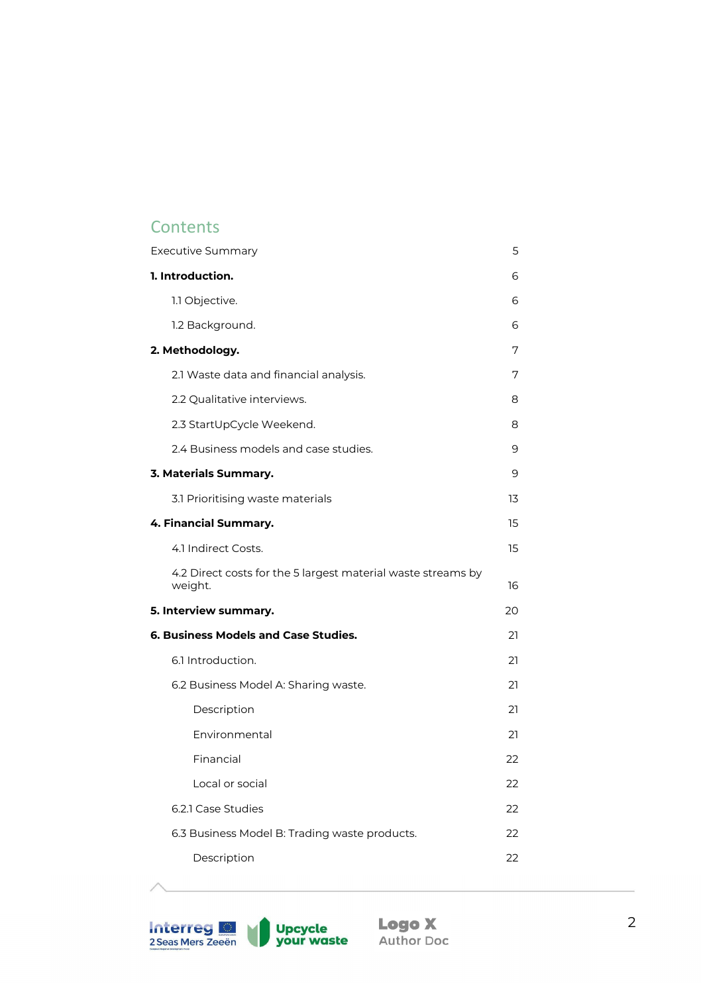## **Contents**

| <b>Executive Summary</b>                                                | 5  |
|-------------------------------------------------------------------------|----|
| 1. Introduction.                                                        | 6  |
| 1.1 Objective.                                                          | 6  |
| 1.2 Background.                                                         | 6  |
| 2. Methodology.                                                         | 7  |
| 2.1 Waste data and financial analysis.                                  | 7  |
| 2.2 Qualitative interviews.                                             | 8  |
| 2.3 StartUpCycle Weekend.                                               | 8  |
| 2.4 Business models and case studies.                                   | 9  |
| 3. Materials Summary.                                                   | 9  |
| 3.1 Prioritising waste materials                                        | 13 |
| 4. Financial Summary.                                                   | 15 |
| 4.1 Indirect Costs.                                                     | 15 |
| 4.2 Direct costs for the 5 largest material waste streams by<br>weight. | 16 |
| 5. Interview summary.                                                   | 20 |
| <b>6. Business Models and Case Studies.</b>                             | 21 |
| 6.1 Introduction.                                                       | 21 |
| 6.2 Business Model A: Sharing waste.                                    | 21 |
| Description                                                             | 21 |
| Environmental                                                           | 21 |
| Financial                                                               | 22 |
| Local or social                                                         | 22 |
| 6.2.1 Case Studies                                                      | 22 |
| 6.3 Business Model B: Trading waste products.                           | 22 |
| Description                                                             | 22 |
|                                                                         |    |

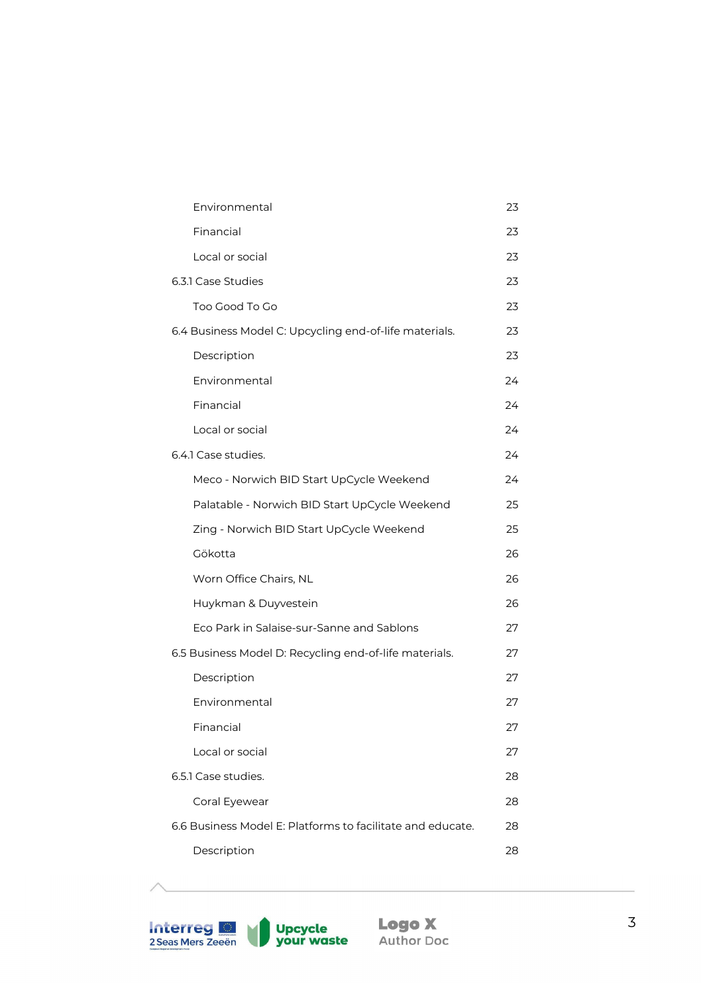| Environmental                                              | 23 |
|------------------------------------------------------------|----|
| Financial                                                  | 23 |
| Local or social                                            | 23 |
| 6.3.1 Case Studies                                         | 23 |
| Too Good To Go                                             | 23 |
| 6.4 Business Model C: Upcycling end-of-life materials.     | 23 |
| Description                                                | 23 |
| Environmental                                              | 24 |
| Financial                                                  | 24 |
| Local or social                                            | 24 |
| 6.4.1 Case studies.                                        | 24 |
| Meco - Norwich BID Start UpCycle Weekend                   | 24 |
| Palatable - Norwich BID Start UpCycle Weekend              | 25 |
| Zing - Norwich BID Start UpCycle Weekend                   | 25 |
| Gökotta                                                    | 26 |
| Worn Office Chairs, NL                                     | 26 |
| Huykman & Duyvestein                                       | 26 |
| Eco Park in Salaise-sur-Sanne and Sablons                  | 27 |
| 6.5 Business Model D: Recycling end-of-life materials.     | 27 |
| Description                                                | 27 |
| Environmental                                              | 27 |
| Financial                                                  | 27 |
| Local or social                                            | 27 |
| 6.5.1 Case studies.                                        | 28 |
| Coral Eyewear                                              | 28 |
| 6.6 Business Model E: Platforms to facilitate and educate. | 28 |
| Description                                                | 28 |
|                                                            |    |

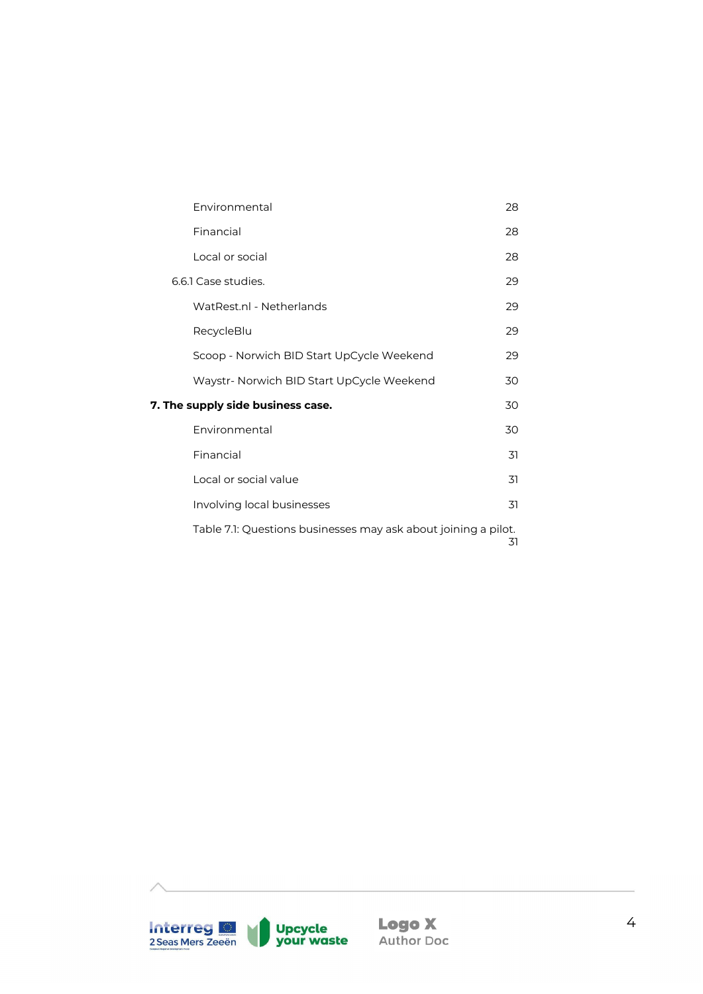| Environmental                                                  | 28  |
|----------------------------------------------------------------|-----|
| Financial                                                      | 28  |
| Local or social                                                | 28  |
| 6.6.1 Case studies.                                            | 29  |
| WatRest.nl - Netherlands                                       | 29  |
| RecycleBlu                                                     | 29  |
| Scoop - Norwich BID Start UpCycle Weekend                      | 29  |
| Waystr- Norwich BID Start UpCycle Weekend                      | 30  |
| 7. The supply side business case.                              | 30  |
| Environmental                                                  | 30  |
| Financial                                                      | 31  |
| Local or social value                                          | 31  |
| Involving local businesses                                     | .31 |
| Table 7.1: Questions businesses may ask about joining a pilot. | 31  |

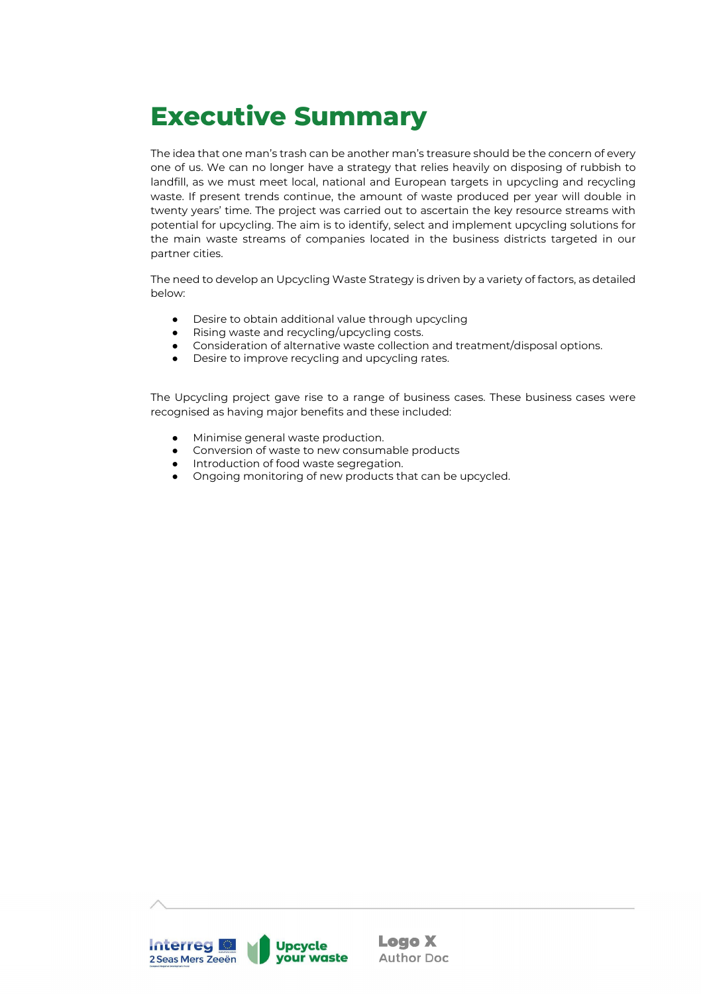# <span id="page-4-0"></span>**Executive Summary**

The idea that one man's trash can be another man's treasure should be the concern of every one of us. We can no longer have a strategy that relies heavily on disposing of rubbish to landfill, as we must meet local, national and European targets in upcycling and recycling waste. If present trends continue, the amount of waste produced per year will double in twenty years' time. The project was carried out to ascertain the key resource streams with potential for upcycling. The aim is to identify, select and implement upcycling solutions for the main waste streams of companies located in the business districts targeted in our partner cities.

The need to develop an Upcycling Waste Strategy is driven by a variety of factors, as detailed below:

- Desire to obtain additional value through upcycling
- Rising waste and recycling/upcycling costs.
- Consideration of alternative waste collection and treatment/disposal options.
- Desire to improve recycling and upcycling rates.

The Upcycling project gave rise to a range of business cases. These business cases were recognised as having major benefits and these included:

- Minimise general waste production.
- Conversion of waste to new consumable products
- Introduction of food waste segregation.
- Ongoing monitoring of new products that can be upcycled.

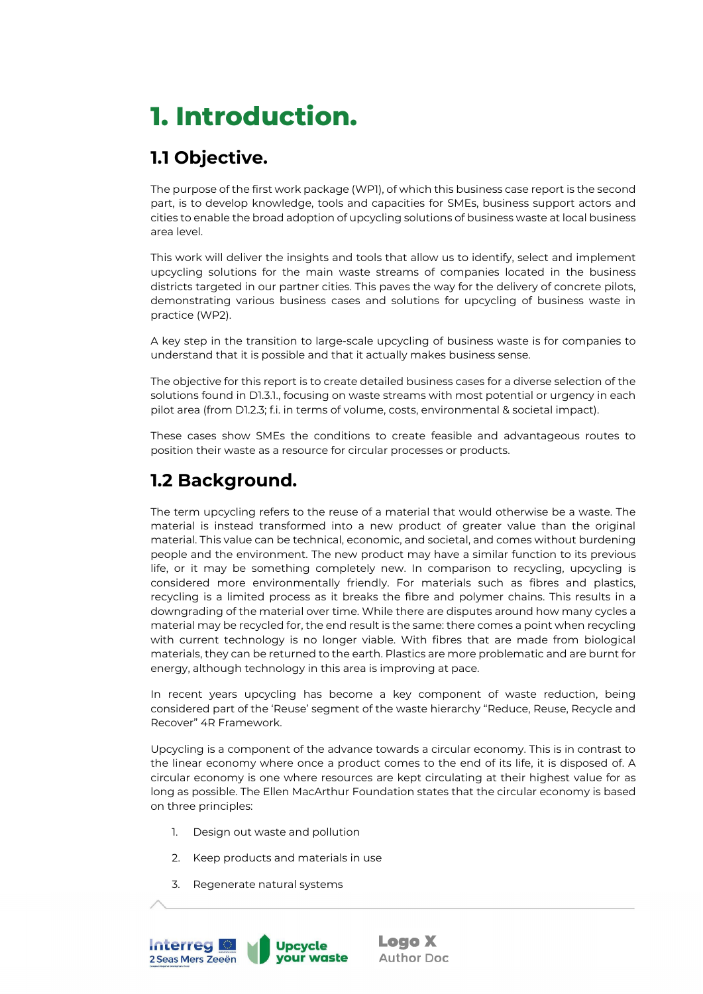# <span id="page-5-0"></span>**1. Introduction.**

# <span id="page-5-1"></span>**1.1 Objective.**

The purpose of the first work package (WP1), of which this business case report is the second part, is to develop knowledge, tools and capacities for SMEs, business support actors and cities to enable the broad adoption of upcycling solutions of business waste at local business area level.

This work will deliver the insights and tools that allow us to identify, select and implement upcycling solutions for the main waste streams of companies located in the business districts targeted in our partner cities. This paves the way for the delivery of concrete pilots, demonstrating various business cases and solutions for upcycling of business waste in practice (WP2).

A key step in the transition to large-scale upcycling of business waste is for companies to understand that it is possible and that it actually makes business sense.

The objective for this report is to create detailed business cases for a diverse selection of the solutions found in D1.3.1., focusing on waste streams with most potential or urgency in each pilot area (from D1.2.3; f.i. in terms of volume, costs, environmental & societal impact).

These cases show SMEs the conditions to create feasible and advantageous routes to position their waste as a resource for circular processes or products.

# <span id="page-5-2"></span>**1.2 Background.**

The term upcycling refers to the reuse of a material that would otherwise be a waste. The material is instead transformed into a new product of greater value than the original material. This value can be technical, economic, and societal, and comes without burdening people and the environment. The new product may have a similar function to its previous life, or it may be something completely new. In comparison to recycling, upcycling is considered more environmentally friendly. For materials such as fibres and plastics, recycling is a limited process as it breaks the fibre and polymer chains. This results in a downgrading of the material over time. While there are disputes around how many cycles a material may be recycled for, the end result is the same: there comes a point when recycling with current technology is no longer viable. With fibres that are made from biological materials, they can be returned to the earth. Plastics are more problematic and are burnt for energy, although technology in this area is improving at pace.

In recent years upcycling has become a key component of waste reduction, being considered part of the 'Reuse' segment of the waste hierarchy "Reduce, Reuse, Recycle and Recover" 4R Framework.

Upcycling is a component of the advance towards a circular economy. This is in contrast to the linear economy where once a product comes to the end of its life, it is disposed of. A circular economy is one where resources are kept circulating at their highest value for as long as possible. The Ellen MacArthur Foundation states that the circular economy is based on three principles:

- 1. Design out waste and pollution
- 2. Keep products and materials in use
- 3. Regenerate natural systems

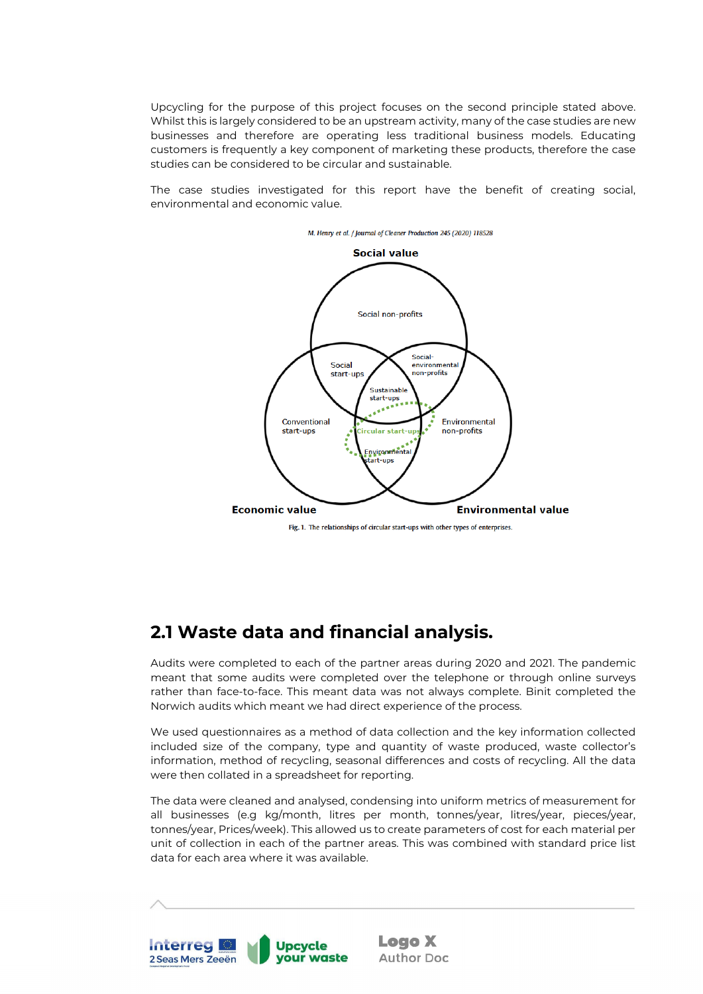Upcycling for the purpose of this project focuses on the second principle stated above. Whilst this is largely considered to be an upstream activity, many of the case studies are new businesses and therefore are operating less traditional business models. Educating customers is frequently a key component of marketing these products, therefore the case studies can be considered to be circular and sustainable.

The case studies investigated for this report have the benefit of creating social, environmental and economic value.



## <span id="page-6-1"></span><span id="page-6-0"></span>**2.1 Waste data and financial analysis.**

Audits were completed to each of the partner areas during 2020 and 2021. The pandemic meant that some audits were completed over the telephone or through online surveys rather than face-to-face. This meant data was not always complete. Binit completed the Norwich audits which meant we had direct experience of the process.

We used questionnaires as a method of data collection and the key information collected included size of the company, type and quantity of waste produced, waste collector's information, method of recycling, seasonal differences and costs of recycling. All the data were then collated in a spreadsheet for reporting.

The data were cleaned and analysed, condensing into uniform metrics of measurement for all businesses (e.g kg/month, litres per month, tonnes/year, litres/year, pieces/year, tonnes/year, Prices/week). This allowed us to create parameters of cost for each material per unit of collection in each of the partner areas. This was combined with standard price list data for each area where it was available.

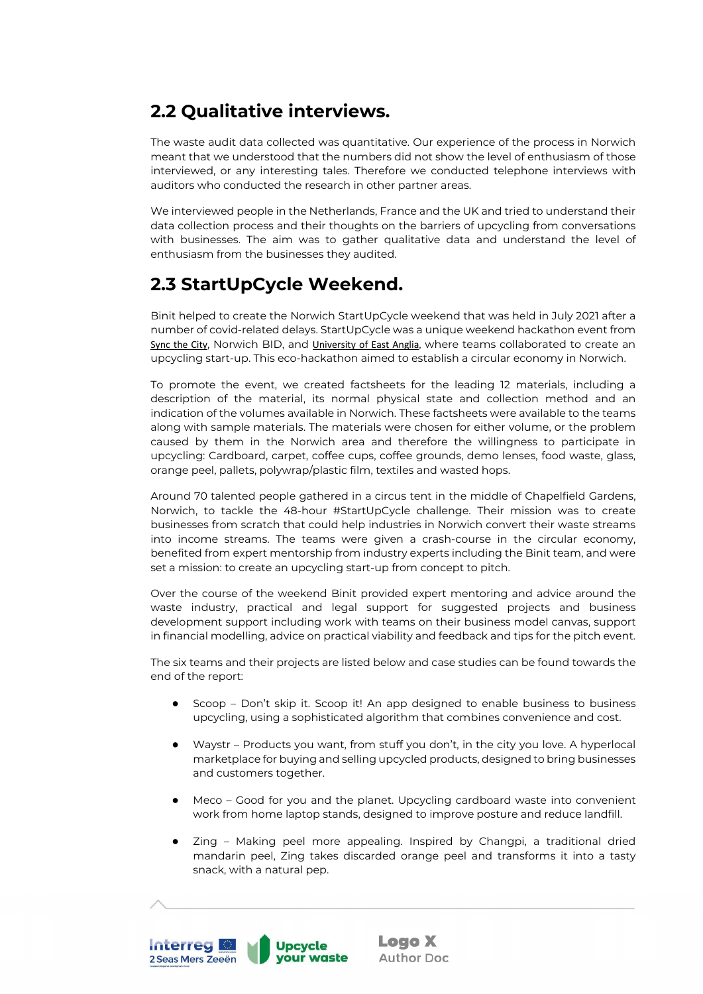# <span id="page-7-0"></span>**2.2 Qualitative interviews.**

The waste audit data collected was quantitative. Our experience of the process in Norwich meant that we understood that the numbers did not show the level of enthusiasm of those interviewed, or any interesting tales. Therefore we conducted telephone interviews with auditors who conducted the research in other partner areas.

We interviewed people in the Netherlands, France and the UK and tried to understand their data collection process and their thoughts on the barriers of upcycling from conversations with businesses. The aim was to gather qualitative data and understand the level of enthusiasm from the businesses they audited.

# <span id="page-7-1"></span>**2.3 StartUpCycle Weekend.**

Binit helped to create the Norwich StartUpCycle weekend that was held in July 2021 after a number of covid-related delays. StartUpCycle was a unique weekend hackathon event from [Sync the City](https://syncthecity.com/), Norwich BID, and [University of East Anglia](https://www.uea.ac.uk/new-homepage), where teams collaborated to create an upcycling start-up. This eco-hackathon aimed to establish a circular economy in Norwich.

To promote the event, we created factsheets for the leading 12 materials, including a description of the material, its normal physical state and collection method and an indication of the volumes available in Norwich. These factsheets were available to the teams along with sample materials. The materials were chosen for either volume, or the problem caused by them in the Norwich area and therefore the willingness to participate in upcycling: Cardboard, carpet, coffee cups, coffee grounds, demo lenses, food waste, glass, orange peel, pallets, polywrap/plastic film, textiles and wasted hops.

Around 70 talented people gathered in a circus tent in the middle of Chapelfield Gardens, Norwich, to tackle the 48-hour #StartUpCycle challenge. Their mission was to create businesses from scratch that could help industries in Norwich convert their waste streams into income streams. The teams were given a crash-course in the circular economy, benefited from expert mentorship from industry experts including the Binit team, and were set a mission: to create an upcycling start-up from concept to pitch.

Over the course of the weekend Binit provided expert mentoring and advice around the waste industry, practical and legal support for suggested projects and business development support including work with teams on their business model canvas, support in financial modelling, advice on practical viability and feedback and tips for the pitch event.

The six teams and their projects are listed below and case studies can be found towards the end of the report:

- Scoop Don't skip it. Scoop it! An app designed to enable business to business upcycling, using a sophisticated algorithm that combines convenience and cost.
- Waystr Products you want, from stuff you don't, in the city you love. A hyperlocal marketplace for buying and selling upcycled products, designed to bring businesses and customers together.
- Meco Good for you and the planet. Upcycling cardboard waste into convenient work from home laptop stands, designed to improve posture and reduce landfill.
- Zing Making peel more appealing. Inspired by Changpi, a traditional dried mandarin peel, Zing takes discarded orange peel and transforms it into a tasty snack, with a natural pep.

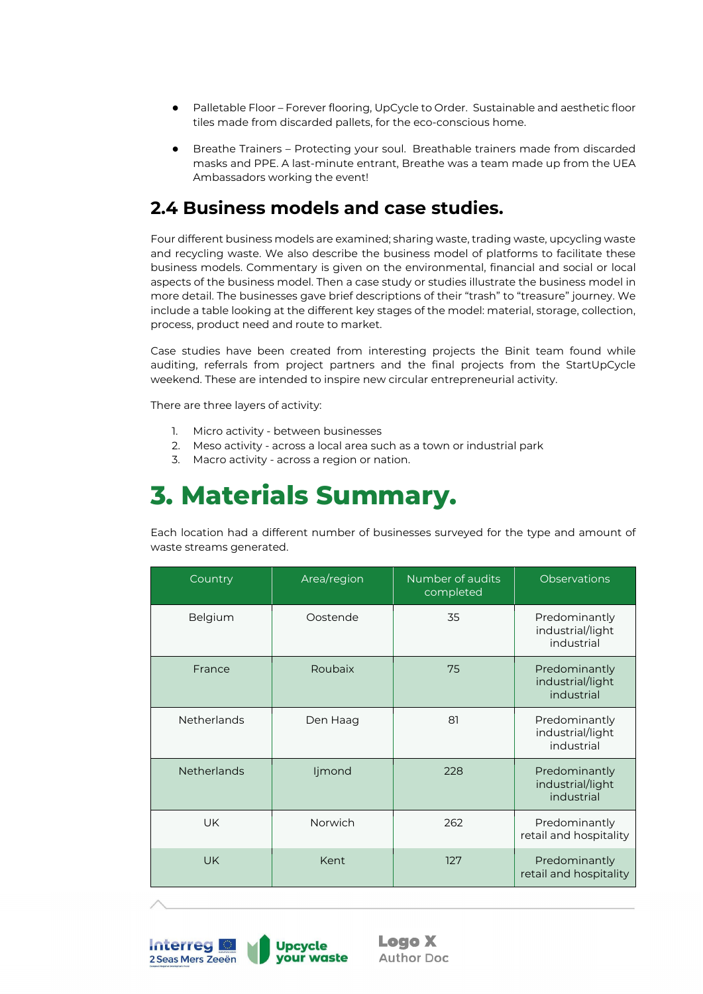- Palletable Floor Forever flooring, UpCycle to Order. Sustainable and aesthetic floor tiles made from discarded pallets, for the eco-conscious home.
- Breathe Trainers Protecting your soul. Breathable trainers made from discarded masks and PPE. A last-minute entrant, Breathe was a team made up from the UEA Ambassadors working the event!

## <span id="page-8-0"></span>**2.4 Business models and case studies.**

Four different business models are examined; sharing waste, trading waste, upcycling waste and recycling waste. We also describe the business model of platforms to facilitate these business models. Commentary is given on the environmental, financial and social or local aspects of the business model. Then a case study or studies illustrate the business model in more detail. The businesses gave brief descriptions of their "trash" to "treasure" journey. We include a table looking at the different key stages of the model: material, storage, collection, process, product need and route to market.

Case studies have been created from interesting projects the Binit team found while auditing, referrals from project partners and the final projects from the StartUpCycle weekend. These are intended to inspire new circular entrepreneurial activity.

There are three layers of activity:

- 1. Micro activity between businesses
- 2. Meso activity across a local area such as a town or industrial park
- 3. Macro activity across a region or nation.

# <span id="page-8-1"></span>**3. Materials Summary.**

Each location had a different number of businesses surveyed for the type and amount of waste streams generated.

| Country            | Area/region | Number of audits<br>completed | <b>Observations</b>                             |
|--------------------|-------------|-------------------------------|-------------------------------------------------|
| Belgium            | Oostende    | 35                            | Predominantly<br>industrial/light<br>industrial |
| France             | Roubaix     | 75                            | Predominantly<br>industrial/light<br>industrial |
| <b>Netherlands</b> | Den Haag    | 81                            | Predominantly<br>industrial/light<br>industrial |
| <b>Netherlands</b> | ljmond      | 228                           | Predominantly<br>industrial/light<br>industrial |
| <b>UK</b>          | Norwich     | 262                           | Predominantly<br>retail and hospitality         |
| <b>UK</b>          | Kent        | 127                           | Predominantly<br>retail and hospitality         |

**Interreg Upcycle vour waste** 2 Seas Mers Zeeën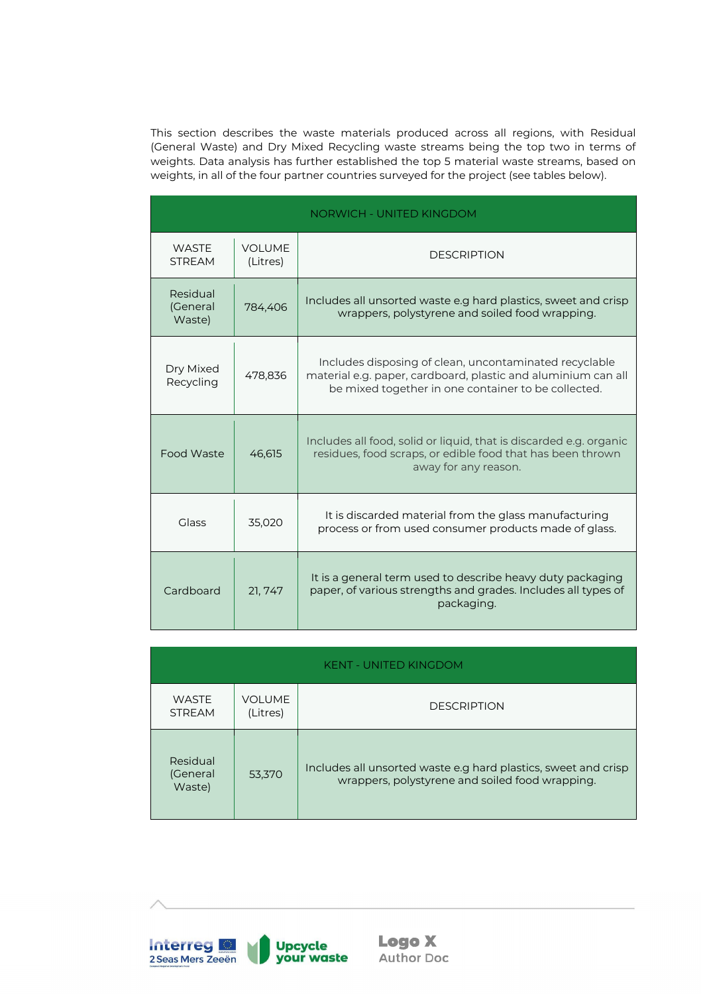This section describes the waste materials produced across all regions, with Residual (General Waste) and Dry Mixed Recycling waste streams being the top two in terms of weights. Data analysis has further established the top 5 material waste streams, based on weights, in all of the four partner countries surveyed for the project (see tables below).

|                                |                           | <b>NORWICH - UNITED KINGDOM</b>                                                                                                                                                |
|--------------------------------|---------------------------|--------------------------------------------------------------------------------------------------------------------------------------------------------------------------------|
| <b>WASTE</b><br><b>STREAM</b>  | <b>VOLUME</b><br>(Litres) | <b>DESCRIPTION</b>                                                                                                                                                             |
| Residual<br>(General<br>Waste) | 784,406                   | Includes all unsorted waste e.g hard plastics, sweet and crisp<br>wrappers, polystyrene and soiled food wrapping.                                                              |
| Dry Mixed<br>Recycling         | 478,836                   | Includes disposing of clean, uncontaminated recyclable<br>material e.g. paper, cardboard, plastic and aluminium can all<br>be mixed together in one container to be collected. |
| Food Waste                     | 46,615                    | Includes all food, solid or liquid, that is discarded e.g. organic<br>residues, food scraps, or edible food that has been thrown<br>away for any reason.                       |
| Glass                          | 35,020                    | It is discarded material from the glass manufacturing<br>process or from used consumer products made of glass.                                                                 |
| Cardboard                      | 21, 747                   | It is a general term used to describe heavy duty packaging<br>paper, of various strengths and grades. Includes all types of<br>packaging.                                      |

| <b>KENT - UNITED KINGDOM</b>   |                           |                                                                                                                   |  |
|--------------------------------|---------------------------|-------------------------------------------------------------------------------------------------------------------|--|
| <b>WASTE</b><br><b>STREAM</b>  | <b>VOLUME</b><br>(Litres) | <b>DESCRIPTION</b>                                                                                                |  |
| Residual<br>(General<br>Waste) | 53,370                    | Includes all unsorted waste e.g hard plastics, sweet and crisp<br>wrappers, polystyrene and soiled food wrapping. |  |

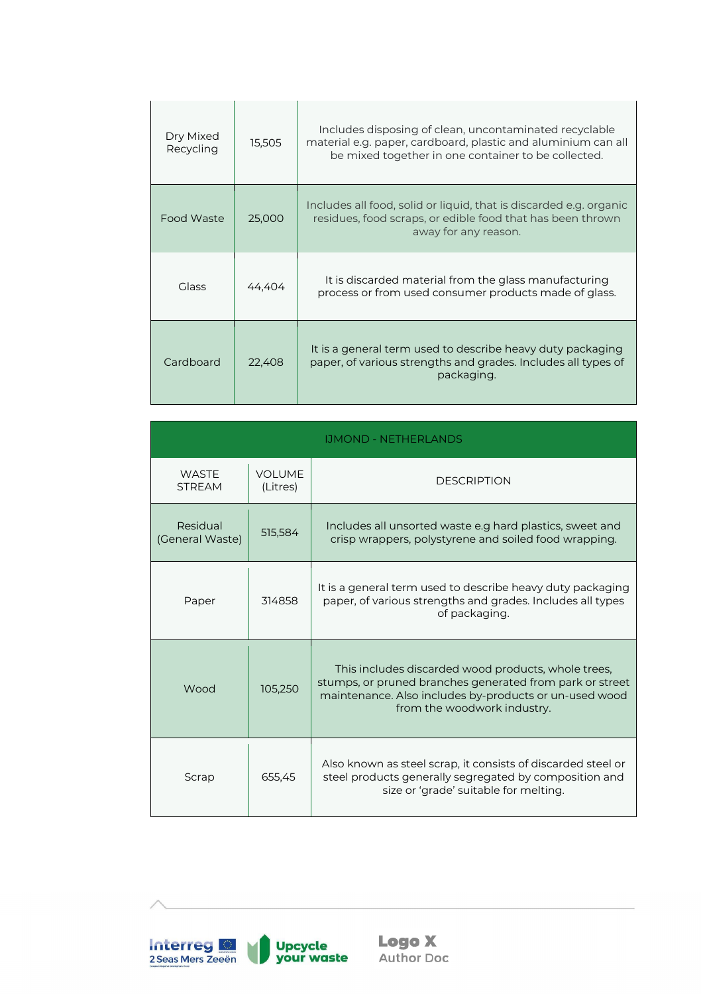| Dry Mixed<br>Recycling | 15,505 | Includes disposing of clean, uncontaminated recyclable<br>material e.g. paper, cardboard, plastic and aluminium can all<br>be mixed together in one container to be collected. |
|------------------------|--------|--------------------------------------------------------------------------------------------------------------------------------------------------------------------------------|
| Food Waste             | 25,000 | Includes all food, solid or liquid, that is discarded e.g. organic<br>residues, food scraps, or edible food that has been thrown<br>away for any reason.                       |
| <b>Glass</b>           | 44,404 | It is discarded material from the glass manufacturing<br>process or from used consumer products made of glass.                                                                 |
| Cardboard              | 22,408 | It is a general term used to describe heavy duty packaging<br>paper, of various strengths and grades. Includes all types of<br>packaging.                                      |

| <b>IJMOND - NETHERLANDS</b>   |                           |                                                                                                                                                                                                          |  |  |
|-------------------------------|---------------------------|----------------------------------------------------------------------------------------------------------------------------------------------------------------------------------------------------------|--|--|
| <b>WASTE</b><br><b>STREAM</b> | <b>VOLUME</b><br>(Litres) | <b>DESCRIPTION</b>                                                                                                                                                                                       |  |  |
| Residual<br>(General Waste)   | 515,584                   | Includes all unsorted waste e.g hard plastics, sweet and<br>crisp wrappers, polystyrene and soiled food wrapping.                                                                                        |  |  |
| Paper                         | 314858                    | It is a general term used to describe heavy duty packaging<br>paper, of various strengths and grades. Includes all types<br>of packaging.                                                                |  |  |
| Wood                          | 105,250                   | This includes discarded wood products, whole trees,<br>stumps, or pruned branches generated from park or street<br>maintenance. Also includes by-products or un-used wood<br>from the woodwork industry. |  |  |
| Scrap                         | 655,45                    | Also known as steel scrap, it consists of discarded steel or<br>steel products generally segregated by composition and<br>size or 'grade' suitable for melting.                                          |  |  |

**Interreg OF**<br>2 Seas Mers Zeeën Upcycle<br>your waste U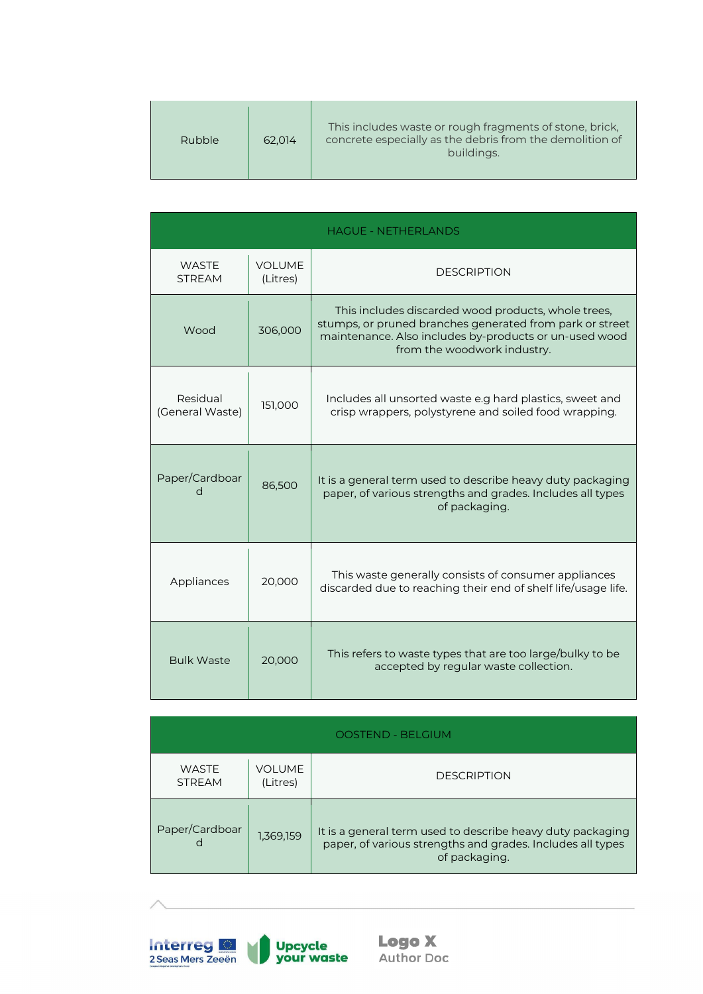| Rubble | 62.014 | This includes waste or rough fragments of stone, brick,<br>concrete especially as the debris from the demolition of<br>buildings. |
|--------|--------|-----------------------------------------------------------------------------------------------------------------------------------|
|--------|--------|-----------------------------------------------------------------------------------------------------------------------------------|

| <b>HAGUE - NETHERLANDS</b>    |                           |                                                                                                                                                                                                          |  |  |
|-------------------------------|---------------------------|----------------------------------------------------------------------------------------------------------------------------------------------------------------------------------------------------------|--|--|
| <b>WASTE</b><br><b>STRFAM</b> | <b>VOLUME</b><br>(Litres) | <b>DESCRIPTION</b>                                                                                                                                                                                       |  |  |
| Wood                          | 306,000                   | This includes discarded wood products, whole trees,<br>stumps, or pruned branches generated from park or street<br>maintenance. Also includes by-products or un-used wood<br>from the woodwork industry. |  |  |
| Residual<br>(General Waste)   | 151,000                   | Includes all unsorted waste e.g hard plastics, sweet and<br>crisp wrappers, polystyrene and soiled food wrapping.                                                                                        |  |  |
| Paper/Cardboar<br>d           | 86,500                    | It is a general term used to describe heavy duty packaging<br>paper, of various strengths and grades. Includes all types<br>of packaging.                                                                |  |  |
| Appliances                    | 20,000                    | This waste generally consists of consumer appliances<br>discarded due to reaching their end of shelf life/usage life.                                                                                    |  |  |
| <b>Bulk Waste</b>             | 20,000                    | This refers to waste types that are too large/bulky to be<br>accepted by regular waste collection.                                                                                                       |  |  |

| <b>OOSTEND - BELGIUM</b>      |                    |                                                                                                                                           |  |
|-------------------------------|--------------------|-------------------------------------------------------------------------------------------------------------------------------------------|--|
| <b>WASTE</b><br><b>STREAM</b> | VOLUME<br>(Litres) | <b>DESCRIPTION</b>                                                                                                                        |  |
| Paper/Cardboar<br>d           | 1,369,159          | It is a general term used to describe heavy duty packaging<br>paper, of various strengths and grades. Includes all types<br>of packaging. |  |

**Interreg**<br>2 Seas Mers Zeeën  **Logo X**<br>Author Doc

Upcycle<br>your waste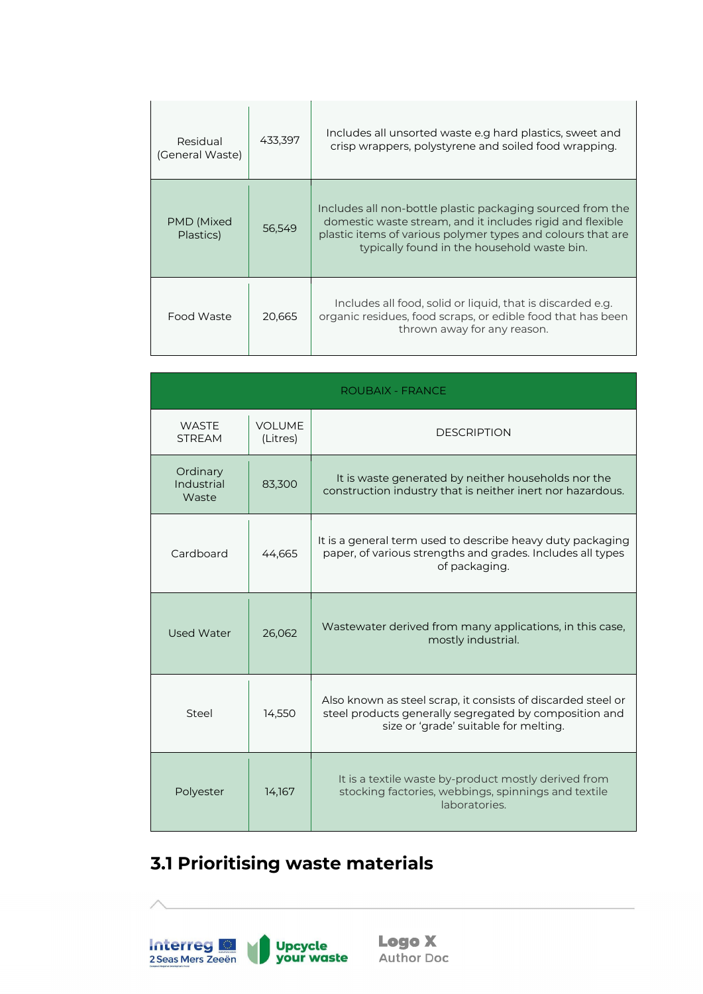| Residual<br>(General Waste) | 433.397 | Includes all unsorted waste e.g hard plastics, sweet and<br>crisp wrappers, polystyrene and soiled food wrapping.                                                                                                                     |
|-----------------------------|---------|---------------------------------------------------------------------------------------------------------------------------------------------------------------------------------------------------------------------------------------|
| PMD (Mixed<br>Plastics)     | 56,549  | Includes all non-bottle plastic packaging sourced from the<br>domestic waste stream, and it includes rigid and flexible<br>plastic items of various polymer types and colours that are<br>typically found in the household waste bin. |
| Food Waste                  | 20,665  | Includes all food, solid or liquid, that is discarded e.g.<br>organic residues, food scraps, or edible food that has been<br>thrown away for any reason.                                                                              |

| <b>ROUBAIX - FRANCE</b>         |                           |                                                                                                                                                                 |  |  |
|---------------------------------|---------------------------|-----------------------------------------------------------------------------------------------------------------------------------------------------------------|--|--|
| <b>WASTE</b><br><b>STRFAM</b>   | <b>VOLUME</b><br>(Litres) | <b>DESCRIPTION</b>                                                                                                                                              |  |  |
| Ordinary<br>Industrial<br>Waste | 83,300                    | It is waste generated by neither households nor the<br>construction industry that is neither inert nor hazardous.                                               |  |  |
| Cardboard                       | 44,665                    | It is a general term used to describe heavy duty packaging<br>paper, of various strengths and grades. Includes all types<br>of packaging.                       |  |  |
| Used Water                      | 26,062                    | Wastewater derived from many applications, in this case,<br>mostly industrial.                                                                                  |  |  |
| Steel                           | 14,550                    | Also known as steel scrap, it consists of discarded steel or<br>steel products generally segregated by composition and<br>size or 'grade' suitable for melting. |  |  |
| Polyester                       | 14,167                    | It is a textile waste by-product mostly derived from<br>stocking factories, webbings, spinnings and textile<br>laboratories.                                    |  |  |

# <span id="page-12-0"></span>**3.1 Prioritising waste materials**

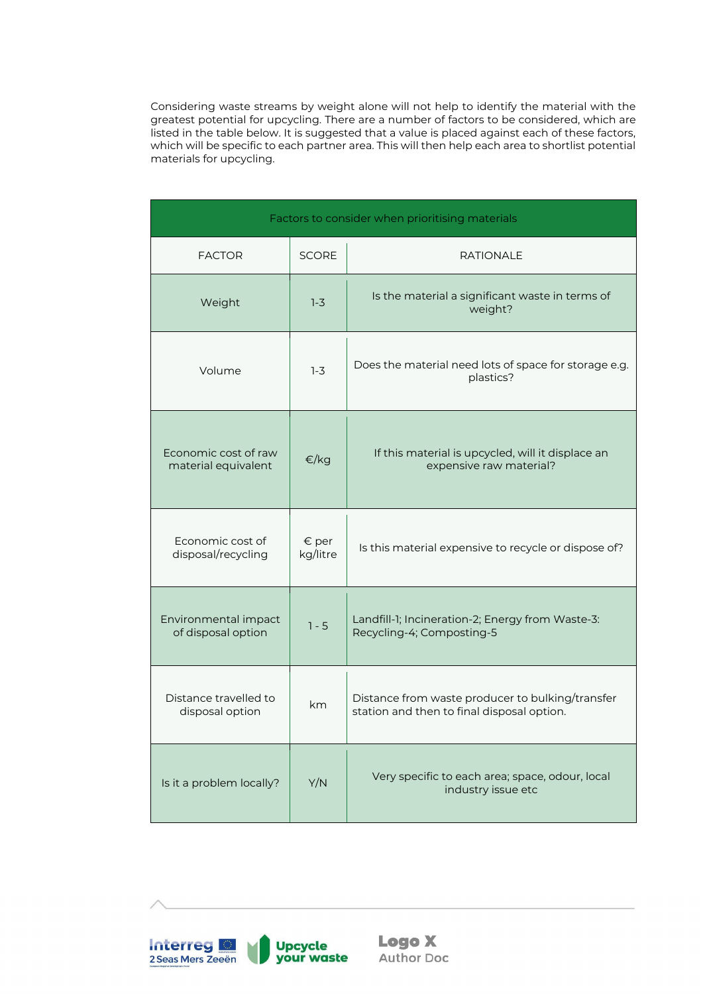Considering waste streams by weight alone will not help to identify the material with the greatest potential for upcycling. There are a number of factors to be considered, which are listed in the table below. It is suggested that a value is placed against each of these factors, which will be specific to each partner area. This will then help each area to shortlist potential materials for upcycling.

| Factors to consider when prioritising materials |                            |                                                                                                |  |
|-------------------------------------------------|----------------------------|------------------------------------------------------------------------------------------------|--|
| <b>FACTOR</b>                                   | <b>SCORE</b>               | <b>RATIONALE</b>                                                                               |  |
| Weight                                          | $1-3$                      | Is the material a significant waste in terms of<br>weight?                                     |  |
| Volume                                          | $1-3$                      | Does the material need lots of space for storage e.g.<br>plastics?                             |  |
| Economic cost of raw<br>material equivalent     | €/kg                       | If this material is upcycled, will it displace an<br>expensive raw material?                   |  |
| Economic cost of<br>disposal/recycling          | $\epsilon$ per<br>kg/litre | Is this material expensive to recycle or dispose of?                                           |  |
| Environmental impact<br>of disposal option      | $1 - 5$                    | Landfill-1; Incineration-2; Energy from Waste-3:<br>Recycling-4; Composting-5                  |  |
| Distance travelled to<br>disposal option        | km.                        | Distance from waste producer to bulking/transfer<br>station and then to final disposal option. |  |
| Is it a problem locally?                        | Y/N                        | Very specific to each area; space, odour, local<br>industry issue etc                          |  |

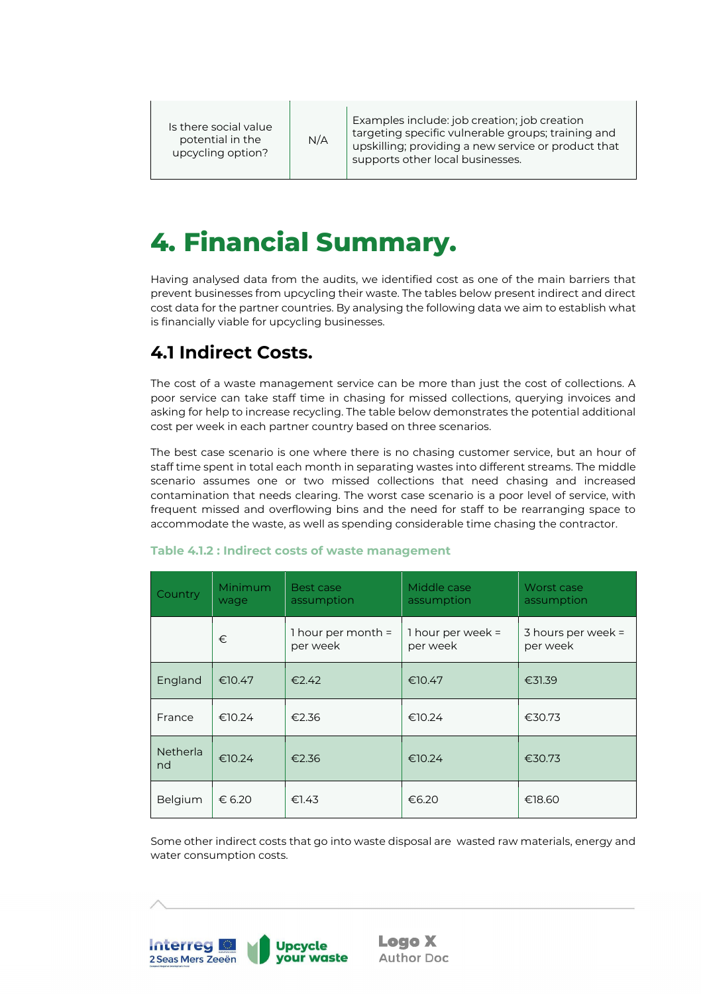Is there social value potential in the upcycling option?

N/A

Examples include: job creation; job creation targeting specific vulnerable groups; training and upskilling; providing a new service or product that supports other local businesses.

# <span id="page-14-0"></span>**4. Financial Summary.**

Having analysed data from the audits, we identified cost as one of the main barriers that prevent businesses from upcycling their waste. The tables below present indirect and direct cost data for the partner countries. By analysing the following data we aim to establish what is financially viable for upcycling businesses.

# <span id="page-14-1"></span>**4.1 Indirect Costs.**

The cost of a waste management service can be more than just the cost of collections. A poor service can take staff time in chasing for missed collections, querying invoices and asking for help to increase recycling. The table below demonstrates the potential additional cost per week in each partner country based on three scenarios.

The best case scenario is one where there is no chasing customer service, but an hour of staff time spent in total each month in separating wastes into different streams. The middle scenario assumes one or two missed collections that need chasing and increased contamination that needs clearing. The worst case scenario is a poor level of service, with frequent missed and overflowing bins and the need for staff to be rearranging space to accommodate the waste, as well as spending considerable time chasing the contractor.

| Country               | Minimum<br>wage | Best case<br>assumption          | Middle case<br>assumption       | Worst case<br>assumption         |
|-----------------------|-----------------|----------------------------------|---------------------------------|----------------------------------|
|                       | €               | 1 hour per month $=$<br>per week | 1 hour per week $=$<br>per week | 3 hours per week $=$<br>per week |
| England               | €10.47          | €2.42                            | €10.47                          | €31.39                           |
| France                | €10.24          | €2.36                            | €10.24                          | €30.73                           |
| <b>Netherla</b><br>nd | €10.24          | €2.36                            | €10.24                          | €30.73                           |
| Belgium               | € 6.20          | €1.43                            | €6.20                           | €18.60                           |

### **Table 4.1.2 : Indirect costs of waste management**

Some other indirect costs that go into waste disposal are wasted raw materials, energy and water consumption costs.

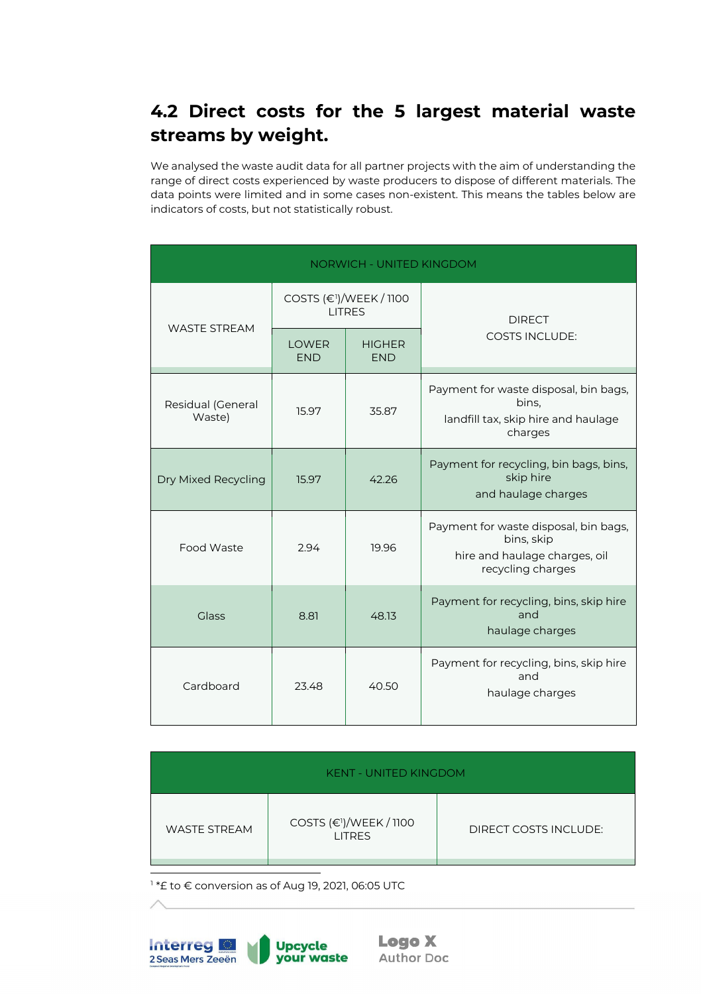# <span id="page-15-0"></span>**4.2 Direct costs for the 5 largest material waste streams by weight.**

We analysed the waste audit data for all partner projects with the aim of understanding the range of direct costs experienced by waste producers to dispose of different materials. The data points were limited and in some cases non-existent. This means the tables below are indicators of costs, but not statistically robust.

| <b>NORWICH - UNITED KINGDOM</b> |                            |                                                      |                                                                                                           |  |
|---------------------------------|----------------------------|------------------------------------------------------|-----------------------------------------------------------------------------------------------------------|--|
|                                 |                            | COSTS (€ <sup>1</sup> )/WEEK / 1100<br><b>LITRES</b> | <b>DIRECT</b>                                                                                             |  |
| <b>WASTE STREAM</b>             | <b>LOWER</b><br><b>END</b> | <b>HIGHER</b><br><b>END</b>                          | <b>COSTS INCLUDE:</b>                                                                                     |  |
| Residual (General<br>Waste)     | 15.97                      | 35.87                                                | Payment for waste disposal, bin bags,<br>bins.<br>landfill tax, skip hire and haulage<br>charges          |  |
| Dry Mixed Recycling             | 15.97                      | 42.26                                                | Payment for recycling, bin bags, bins,<br>skip hire<br>and haulage charges                                |  |
| Food Waste                      | 2.94                       | 19.96                                                | Payment for waste disposal, bin bags,<br>bins, skip<br>hire and haulage charges, oil<br>recycling charges |  |
| Glass                           | 8.81                       | 48.13                                                | Payment for recycling, bins, skip hire<br>and<br>haulage charges                                          |  |
| Cardboard                       | 23.48                      | 40.50                                                | Payment for recycling, bins, skip hire<br>and<br>haulage charges                                          |  |

| <b>KENT - UNITED KINGDOM</b> |                                                      |                       |  |  |
|------------------------------|------------------------------------------------------|-----------------------|--|--|
| <b>WASTE STREAM</b>          | COSTS (€ <sup>1</sup> )/WEEK / 1100<br><b>LITRES</b> | DIRECT COSTS INCLUDE: |  |  |

<span id="page-15-1"></span><sup>1</sup> \*£ to € conversion as of Aug 19, 2021, 06:05 UTC

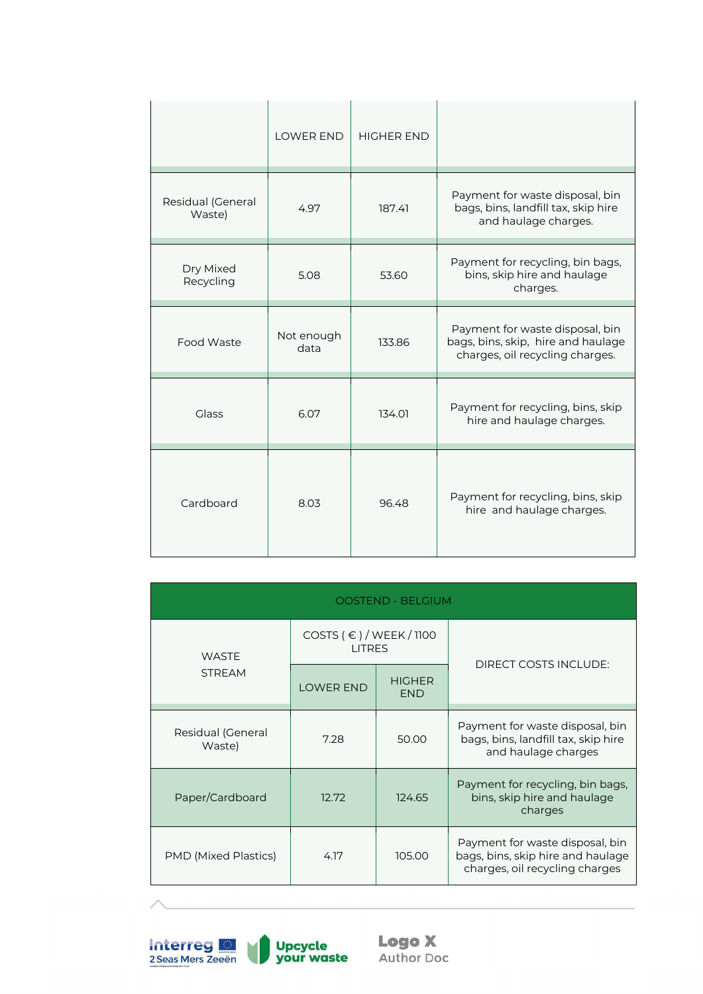|                             | <b>LOWER END</b>   | <b>HIGHER END</b> |                                                                                                          |
|-----------------------------|--------------------|-------------------|----------------------------------------------------------------------------------------------------------|
| Residual (General<br>Waste) | 4.97               | 187.41            | Payment for waste disposal, bin<br>bags, bins, landfill tax, skip hire<br>and haulage charges.           |
| Dry Mixed<br>Recycling      | 5.08               | 53.60             | Payment for recycling, bin bags,<br>bins, skip hire and haulage<br>charges.                              |
| Food Waste                  | Not enough<br>data | 133.86            | Payment for waste disposal, bin<br>bags, bins, skip, hire and haulage<br>charges, oil recycling charges. |
| <b>Glass</b>                | 6.07               | 134.01            | Payment for recycling, bins, skip<br>hire and haulage charges.                                           |
| Cardboard                   | 8.03               | 96.48             | Payment for recycling, bins, skip<br>hire and haulage charges.                                           |

| <b>OOSTEND - BELGIUM</b>    |                                                |                             |                                                                                                        |  |  |
|-----------------------------|------------------------------------------------|-----------------------------|--------------------------------------------------------------------------------------------------------|--|--|
| <b>WASTE</b>                | COSTS $( \in ) /$ WEEK / 1100<br><b>LITRES</b> |                             |                                                                                                        |  |  |
| <b>STREAM</b>               | <b>LOWER END</b>                               | <b>HIGHER</b><br><b>END</b> | DIRECT COSTS INCLUDE:                                                                                  |  |  |
| Residual (General<br>Waste) | 7.28                                           | 50.00                       | Payment for waste disposal, bin<br>bags, bins, landfill tax, skip hire<br>and haulage charges          |  |  |
| Paper/Cardboard             | 12.72                                          | 124.65                      | Payment for recycling, bin bags,<br>bins, skip hire and haulage<br>charges                             |  |  |
| <b>PMD (Mixed Plastics)</b> | 4.17                                           | 105.00                      | Payment for waste disposal, bin<br>bags, bins, skip hire and haulage<br>charges, oil recycling charges |  |  |

**Interreg C**<br>2 Seas Mers Zeeën

**Logo X**<br>Author Doc

Upcycle<br>your waste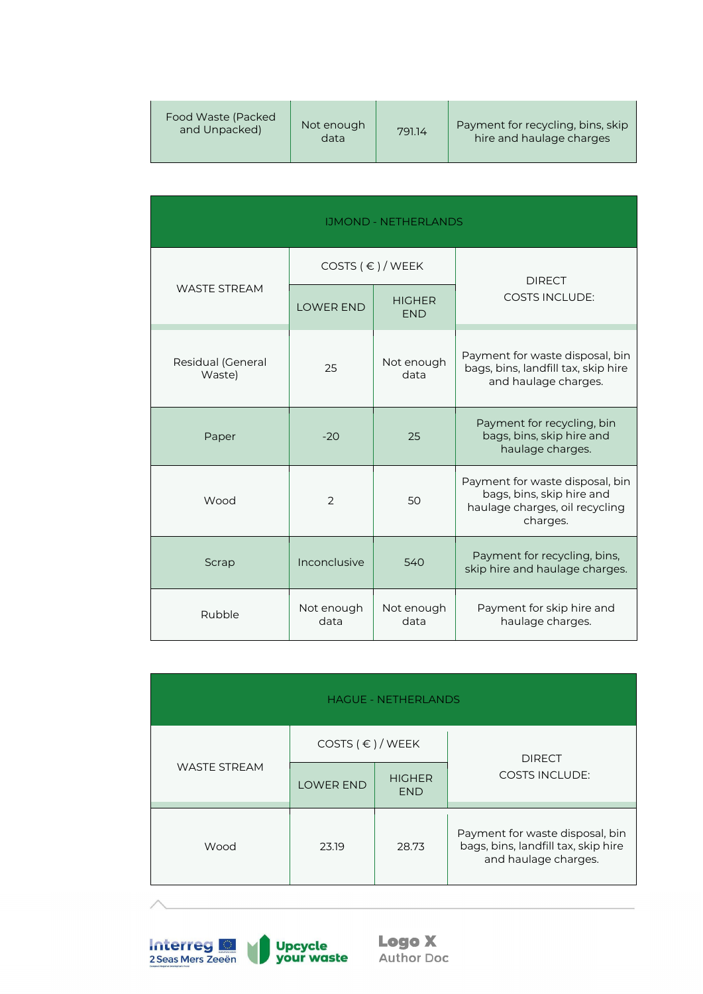| Food Waste (Packed) | Not enough | 791.14 | Payment for recycling, bins, skip |
|---------------------|------------|--------|-----------------------------------|
| and Unpacked)       | data       |        | hire and haulage charges          |

| <b>IJMOND - NETHERLANDS</b> |                        |                             |                                                                                                            |  |
|-----------------------------|------------------------|-----------------------------|------------------------------------------------------------------------------------------------------------|--|
|                             | COSTS $( \in ) /$ WEEK |                             | <b>DIRECT</b>                                                                                              |  |
| <b>WASTE STREAM</b>         | <b>LOWER END</b>       | <b>HIGHER</b><br><b>END</b> | <b>COSTS INCLUDE:</b>                                                                                      |  |
| Residual (General<br>Waste) | 25                     | Not enough<br>data          | Payment for waste disposal, bin<br>bags, bins, landfill tax, skip hire<br>and haulage charges.             |  |
| Paper                       | $-20$                  | 25                          | Payment for recycling, bin<br>bags, bins, skip hire and<br>haulage charges.                                |  |
| Wood                        | 2                      | 50                          | Payment for waste disposal, bin<br>bags, bins, skip hire and<br>haulage charges, oil recycling<br>charges. |  |
| Scrap                       | Inconclusive           | 540                         | Payment for recycling, bins,<br>skip hire and haulage charges.                                             |  |
| Rubble                      | Not enough<br>data     | Not enough<br>data          | Payment for skip hire and<br>haulage charges.                                                              |  |

| <b>HAGUE - NETHERLANDS</b> |                        |                             |                                                                                                |  |
|----------------------------|------------------------|-----------------------------|------------------------------------------------------------------------------------------------|--|
|                            | COSTS $( \in ) /$ WEEK |                             | <b>DIRECT</b>                                                                                  |  |
| <b>WASTE STREAM</b>        | <b>LOWER END</b>       | <b>HIGHER</b><br><b>END</b> | <b>COSTS INCLUDE:</b>                                                                          |  |
| Wood                       | 23.19                  | 28.73                       | Payment for waste disposal, bin<br>bags, bins, landfill tax, skip hire<br>and haulage charges. |  |

**Interreg &**<br>2 Seas Mers Zeeën Upcycle<br>your waste U

**Logo X**<br>Author Doc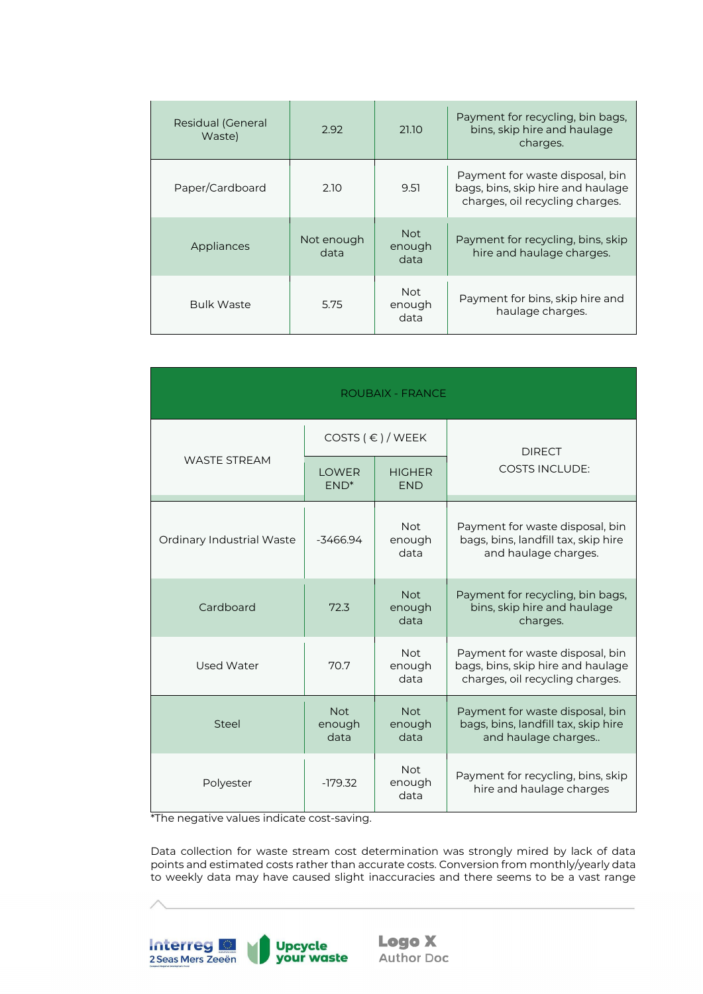| Residual (General<br>Waste) | 2.92               | 21.10                        | Payment for recycling, bin bags,<br>bins, skip hire and haulage<br>charges.                             |
|-----------------------------|--------------------|------------------------------|---------------------------------------------------------------------------------------------------------|
| Paper/Cardboard             | 2.10               | 9.51                         | Payment for waste disposal, bin<br>bags, bins, skip hire and haulage<br>charges, oil recycling charges. |
| Appliances                  | Not enough<br>data | <b>Not</b><br>enough<br>data | Payment for recycling, bins, skip<br>hire and haulage charges.                                          |
| <b>Bulk Waste</b>           | 5.75               | <b>Not</b><br>enough<br>data | Payment for bins, skip hire and<br>haulage charges.                                                     |

| <b>ROUBAIX - FRANCE</b>   |                              |                              |                                                                                                         |  |
|---------------------------|------------------------------|------------------------------|---------------------------------------------------------------------------------------------------------|--|
|                           | COSTS $( \in ) /$ WEEK       |                              | <b>DIRECT</b>                                                                                           |  |
| <b>WASTE STREAM</b>       | <b>LOWER</b><br>$END*$       | <b>HIGHER</b><br><b>END</b>  | <b>COSTS INCLUDE:</b>                                                                                   |  |
| Ordinary Industrial Waste | $-3466.94$                   | <b>Not</b><br>enough<br>data | Payment for waste disposal, bin<br>bags, bins, landfill tax, skip hire<br>and haulage charges.          |  |
| Cardboard                 | 72.3                         | <b>Not</b><br>enough<br>data | Payment for recycling, bin bags,<br>bins, skip hire and haulage<br>charges.                             |  |
| Used Water                | 70.7                         | <b>Not</b><br>enough<br>data | Payment for waste disposal, bin<br>bags, bins, skip hire and haulage<br>charges, oil recycling charges. |  |
| <b>Steel</b>              | <b>Not</b><br>enough<br>data | <b>Not</b><br>enough<br>data | Payment for waste disposal, bin<br>bags, bins, landfill tax, skip hire<br>and haulage charges           |  |
| Polyester                 | $-179.32$                    | <b>Not</b><br>enough<br>data | Payment for recycling, bins, skip<br>hire and haulage charges                                           |  |

\*The negative values indicate cost-saving.

Data collection for waste stream cost determination was strongly mired by lack of data points and estimated costs rather than accurate costs. Conversion from monthly/yearly data to weekly data may have caused slight inaccuracies and there seems to be a vast range

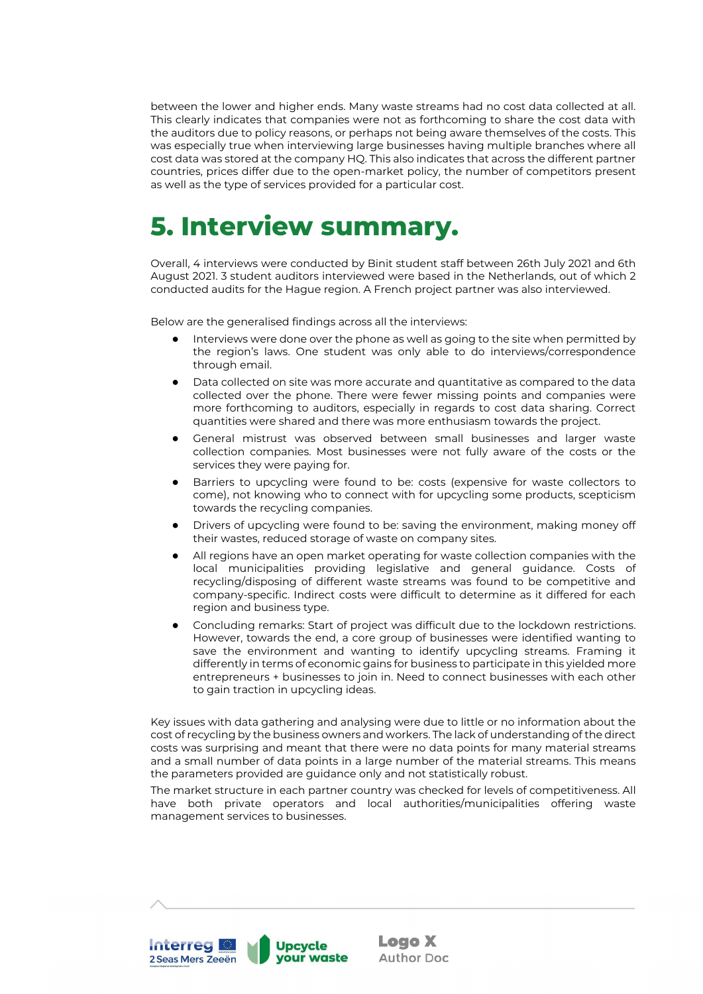between the lower and higher ends. Many waste streams had no cost data collected at all. This clearly indicates that companies were not as forthcoming to share the cost data with the auditors due to policy reasons, or perhaps not being aware themselves of the costs. This was especially true when interviewing large businesses having multiple branches where all cost data was stored at the company HQ. This also indicates that across the different partner countries, prices differ due to the open-market policy, the number of competitors present as well as the type of services provided for a particular cost.

# <span id="page-19-0"></span>**5. Interview summary.**

Overall, 4 interviews were conducted by Binit student staff between 26th July 2021 and 6th August 2021. 3 student auditors interviewed were based in the Netherlands, out of which 2 conducted audits for the Hague region. A French project partner was also interviewed.

Below are the generalised findings across all the interviews:

- Interviews were done over the phone as well as going to the site when permitted by the region's laws. One student was only able to do interviews/correspondence through email.
- Data collected on site was more accurate and quantitative as compared to the data collected over the phone. There were fewer missing points and companies were more forthcoming to auditors, especially in regards to cost data sharing. Correct quantities were shared and there was more enthusiasm towards the project.
- General mistrust was observed between small businesses and larger waste collection companies. Most businesses were not fully aware of the costs or the services they were paying for.
- Barriers to upcycling were found to be: costs (expensive for waste collectors to come), not knowing who to connect with for upcycling some products, scepticism towards the recycling companies.
- Drivers of upcycling were found to be: saving the environment, making money off their wastes, reduced storage of waste on company sites.
- All regions have an open market operating for waste collection companies with the local municipalities providing legislative and general guidance. Costs of recycling/disposing of different waste streams was found to be competitive and company-specific. Indirect costs were difficult to determine as it differed for each region and business type.
- Concluding remarks: Start of project was difficult due to the lockdown restrictions. However, towards the end, a core group of businesses were identified wanting to save the environment and wanting to identify upcycling streams. Framing it differently in terms of economic gains for business to participate in this yielded more entrepreneurs + businesses to join in. Need to connect businesses with each other to gain traction in upcycling ideas.

Key issues with data gathering and analysing were due to little or no information about the cost of recycling by the business owners and workers. The lack of understanding of the direct costs was surprising and meant that there were no data points for many material streams and a small number of data points in a large number of the material streams. This means the parameters provided are guidance only and not statistically robust.

The market structure in each partner country was checked for levels of competitiveness. All have both private operators and local authorities/municipalities offering waste management services to businesses.

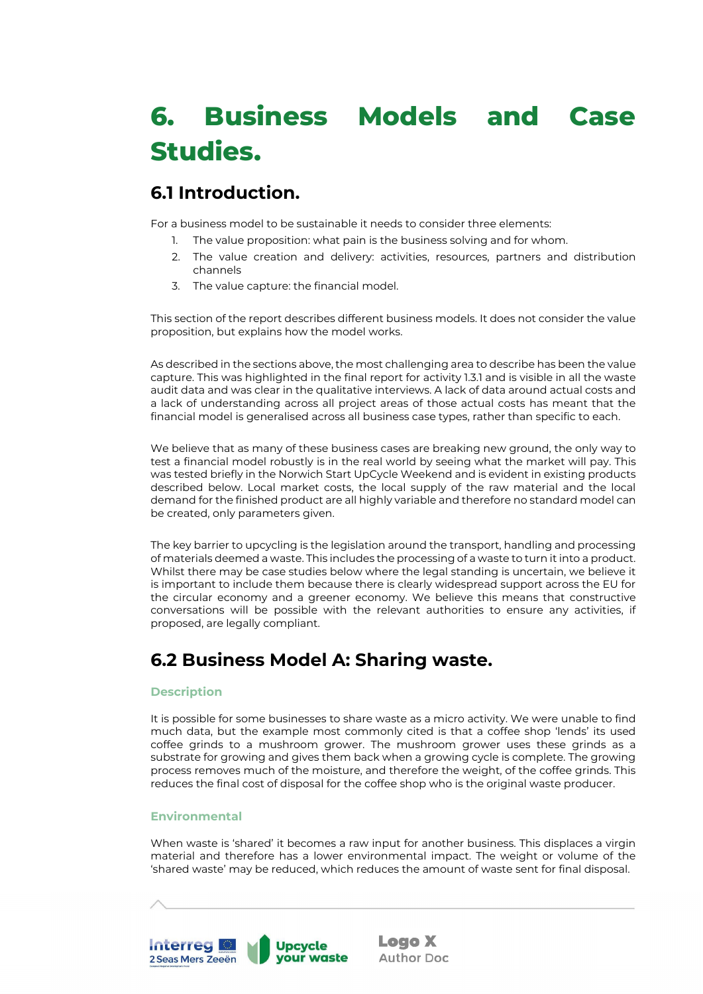# <span id="page-20-0"></span>**6. Business Models and Case Studies.**

## <span id="page-20-1"></span>**6.1 Introduction.**

For a business model to be sustainable it needs to consider three elements:

- 1. The value proposition: what pain is the business solving and for whom.
- 2. The value creation and delivery: activities, resources, partners and distribution channels
- 3. The value capture: the financial model.

This section of the report describes different business models. It does not consider the value proposition, but explains how the model works.

As described in the sections above, the most challenging area to describe has been the value capture. This was highlighted in the final report for activity 1.3.1 and is visible in all the waste audit data and was clear in the qualitative interviews. A lack of data around actual costs and a lack of understanding across all project areas of those actual costs has meant that the financial model is generalised across all business case types, rather than specific to each.

We believe that as many of these business cases are breaking new ground, the only way to test a financial model robustly is in the real world by seeing what the market will pay. This was tested briefly in the Norwich Start UpCycle Weekend and is evident in existing products described below. Local market costs, the local supply of the raw material and the local demand for the finished product are all highly variable and therefore no standard model can be created, only parameters given.

The key barrier to upcycling is the legislation around the transport, handling and processing of materials deemed a waste. This includes the processing of a waste to turn it into a product. Whilst there may be case studies below where the legal standing is uncertain, we believe it is important to include them because there is clearly widespread support across the EU for the circular economy and a greener economy. We believe this means that constructive conversations will be possible with the relevant authorities to ensure any activities, if proposed, are legally compliant.

# <span id="page-20-2"></span>**6.2 Business Model A: Sharing waste.**

### <span id="page-20-3"></span>**Description**

It is possible for some businesses to share waste as a micro activity. We were unable to find much data, but the example most commonly cited is that a coffee shop 'lends' its used coffee grinds to a mushroom grower. The mushroom grower uses these grinds as a substrate for growing and gives them back when a growing cycle is complete. The growing process removes much of the moisture, and therefore the weight, of the coffee grinds. This reduces the final cost of disposal for the coffee shop who is the original waste producer.

### <span id="page-20-4"></span>**Environmental**

When waste is 'shared' it becomes a raw input for another business. This displaces a virgin material and therefore has a lower environmental impact. The weight or volume of the 'shared waste' may be reduced, which reduces the amount of waste sent for final disposal.

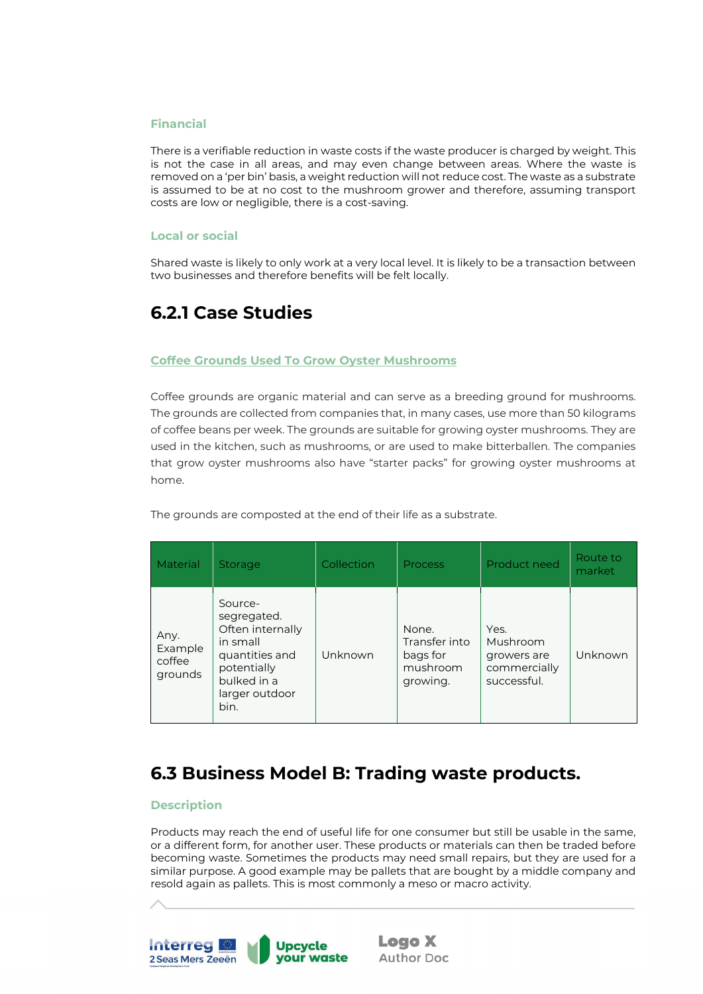### <span id="page-21-0"></span>**Financial**

There is a verifiable reduction in waste costs if the waste producer is charged by weight. This is not the case in all areas, and may even change between areas. Where the waste is removed on a 'per bin' basis, a weight reduction will not reduce cost. The waste as a substrate is assumed to be at no cost to the mushroom grower and therefore, assuming transport costs are low or negligible, there is a cost-saving.

#### <span id="page-21-1"></span>**Local or social**

Shared waste is likely to only work at a very local level. It is likely to be a transaction between two businesses and therefore benefits will be felt locally.

## <span id="page-21-2"></span>**6.2.1 Case Studies**

### **Coffee Grounds Used To Grow Oyster Mushrooms**

Coffee grounds are organic material and can serve as a breeding ground for mushrooms. The grounds are collected from companies that, in many cases, use more than 50 kilograms of coffee beans per week. The grounds are suitable for growing oyster mushrooms. They are used in the kitchen, such as mushrooms, or are used to make bitterballen. The companies that grow oyster mushrooms also have "starter packs" for growing oyster mushrooms at home.

The grounds are composted at the end of their life as a substrate.

| Material                             | <b>Storage</b>                                                                                                                   | Collection | <b>Process</b>                                             | Product need                                                   | Route to<br>market |
|--------------------------------------|----------------------------------------------------------------------------------------------------------------------------------|------------|------------------------------------------------------------|----------------------------------------------------------------|--------------------|
| Any.<br>Example<br>coffee<br>grounds | Source-<br>segregated.<br>Often internally<br>in small<br>quantities and<br>potentially<br>bulked in a<br>larger outdoor<br>bin. | Unknown    | None.<br>Transfer into<br>bags for<br>mushroom<br>growing. | Yes.<br>Mushroom<br>growers are<br>commercially<br>successful. | Unknown            |

## <span id="page-21-3"></span>**6.3 Business Model B: Trading waste products.**

### <span id="page-21-4"></span>**Description**

Products may reach the end of useful life for one consumer but still be usable in the same, or a different form, for another user. These products or materials can then be traded before becoming waste. Sometimes the products may need small repairs, but they are used for a similar purpose. A good example may be pallets that are bought by a middle company and resold again as pallets. This is most commonly a meso or macro activity.

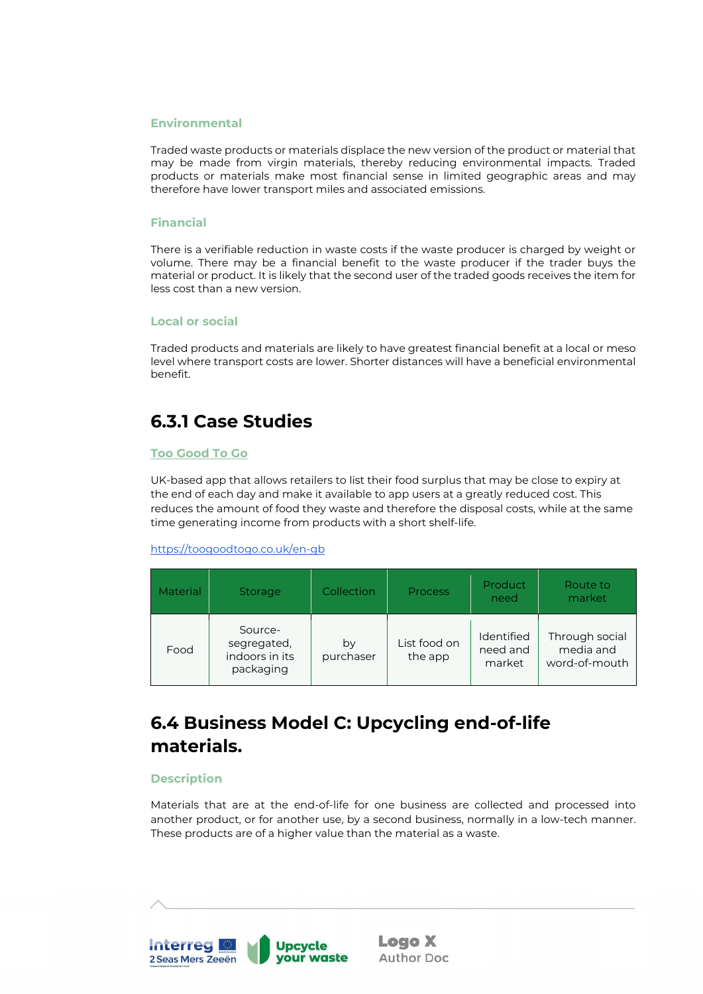### <span id="page-22-0"></span>**Environmental**

Traded waste products or materials displace the new version of the product or material that may be made from virgin materials, thereby reducing environmental impacts. Traded products or materials make most financial sense in limited geographic areas and may therefore have lower transport miles and associated emissions.

#### <span id="page-22-1"></span>**Financial**

There is a verifiable reduction in waste costs if the waste producer is charged by weight or volume. There may be a financial benefit to the waste producer if the trader buys the material or product. It is likely that the second user of the traded goods receives the item for less cost than a new version.

#### <span id="page-22-2"></span>**Local or social**

Traded products and materials are likely to have greatest financial benefit at a local or meso level where transport costs are lower. Shorter distances will have a beneficial environmental benefit.

## <span id="page-22-3"></span>**6.3.1 Case Studies**

#### <span id="page-22-4"></span>**Too Good To Go**

UK-based app that allows retailers to list their food surplus that may be close to expiry at the end of each day and make it available to app users at a greatly reduced cost. This reduces the amount of food they waste and therefore the disposal costs, while at the same time generating income from products with a short shelf-life.

<https://toogoodtogo.co.uk/en-gb>

| <b>Material</b> | <b>Storage</b>                                        | Collection      | <b>Process</b>          | Product<br>need                  | Route to<br>market                           |
|-----------------|-------------------------------------------------------|-----------------|-------------------------|----------------------------------|----------------------------------------------|
| Food            | Source-<br>segregated,<br>indoors in its<br>packaging | by<br>purchaser | List food on<br>the app | Identified<br>need and<br>market | Through social<br>media and<br>word-of-mouth |

# <span id="page-22-5"></span>**6.4 Business Model C: Upcycling end-of-life materials.**

### <span id="page-22-6"></span>**Description**

Materials that are at the end-of-life for one business are collected and processed into another product, or for another use, by a second business, normally in a low-tech manner. These products are of a higher value than the material as a waste.

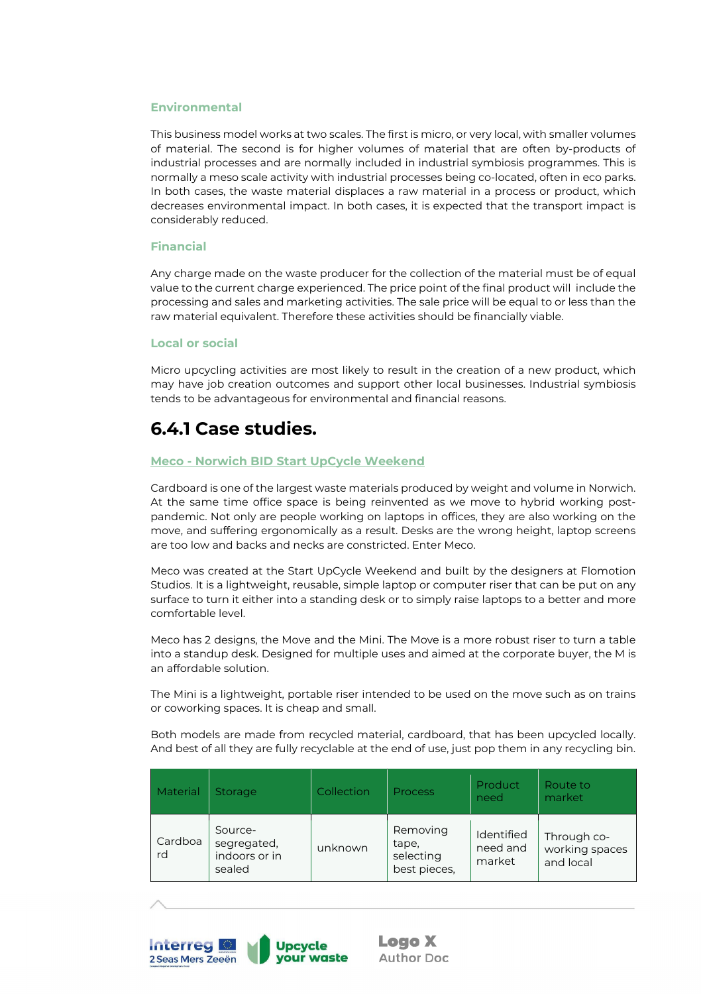#### <span id="page-23-0"></span>**Environmental**

This business model works at two scales. The first is micro, or very local, with smaller volumes of material. The second is for higher volumes of material that are often by-products of industrial processes and are normally included in industrial symbiosis programmes. This is normally a meso scale activity with industrial processes being co-located, often in eco parks. In both cases, the waste material displaces a raw material in a process or product, which decreases environmental impact. In both cases, it is expected that the transport impact is considerably reduced.

#### <span id="page-23-1"></span>**Financial**

Any charge made on the waste producer for the collection of the material must be of equal value to the current charge experienced. The price point of the final product will include the processing and sales and marketing activities. The sale price will be equal to or less than the raw material equivalent. Therefore these activities should be financially viable.

#### <span id="page-23-2"></span>**Local or social**

Micro upcycling activities are most likely to result in the creation of a new product, which may have job creation outcomes and support other local businesses. Industrial symbiosis tends to be advantageous for environmental and financial reasons.

## <span id="page-23-3"></span>**6.4.1 Case studies.**

#### <span id="page-23-4"></span>**Meco - Norwich BID Start UpCycle Weekend**

Cardboard is one of the largest waste materials produced by weight and volume in Norwich. At the same time office space is being reinvented as we move to hybrid working postpandemic. Not only are people working on laptops in offices, they are also working on the move, and suffering ergonomically as a result. Desks are the wrong height, laptop screens are too low and backs and necks are constricted. Enter Meco.

Meco was created at the Start UpCycle Weekend and built by the designers at Flomotion Studios. It is a lightweight, reusable, simple laptop or computer riser that can be put on any surface to turn it either into a standing desk or to simply raise laptops to a better and more comfortable level.

Meco has 2 designs, the Move and the Mini. The Move is a more robust riser to turn a table into a standup desk. Designed for multiple uses and aimed at the corporate buyer, the M is an affordable solution.

The Mini is a lightweight, portable riser intended to be used on the move such as on trains or coworking spaces. It is cheap and small.

Both models are made from recycled material, cardboard, that has been upcycled locally. And best of all they are fully recyclable at the end of use, just pop them in any recycling bin.

| Material      | Storage                                           | Collection | <b>Process</b>                                 | Product<br>need                  | Route to<br>market                         |
|---------------|---------------------------------------------------|------------|------------------------------------------------|----------------------------------|--------------------------------------------|
| Cardboa<br>rd | Source-<br>segregated,<br>indoors or in<br>sealed | unknown    | Removing<br>tape,<br>selecting<br>best pieces, | Identified<br>need and<br>market | Through co-<br>working spaces<br>and local |



**Interreg Manager** 

2 Seas Mers Zeeën

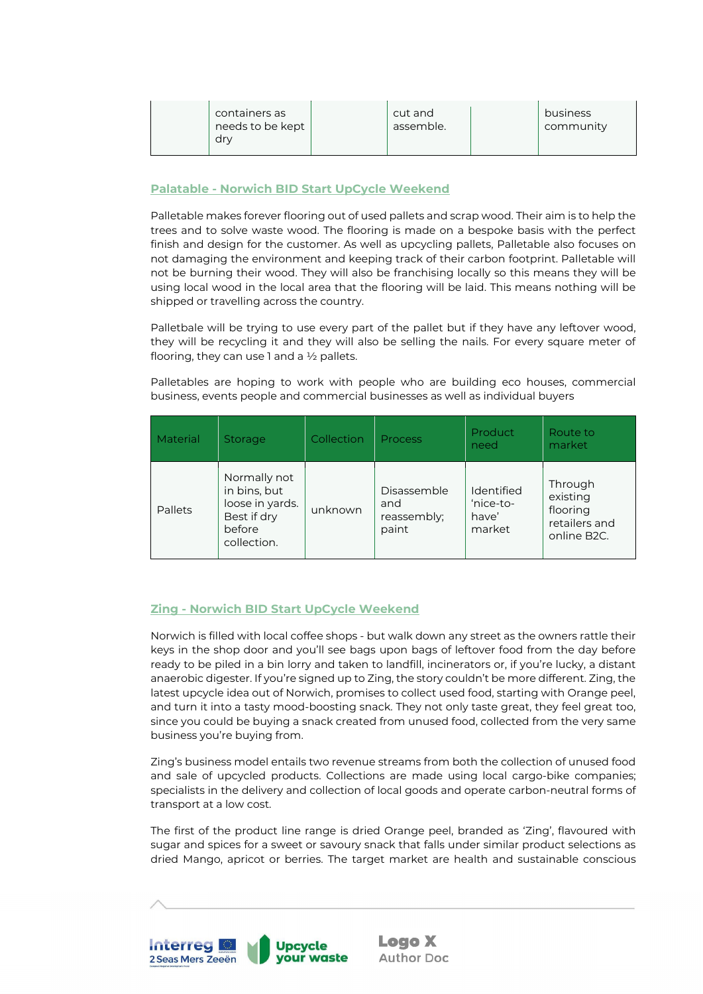| containers as<br>needs to be kept<br>dry | cut and<br>assemble. | business<br>community |
|------------------------------------------|----------------------|-----------------------|
|------------------------------------------|----------------------|-----------------------|

### <span id="page-24-0"></span>**Palatable - Norwich BID Start UpCycle Weekend**

Palletable makes forever flooring out of used pallets and scrap wood. Their aim is to help the trees and to solve waste wood. The flooring is made on a bespoke basis with the perfect finish and design for the customer. As well as upcycling pallets, Palletable also focuses on not damaging the environment and keeping track of their carbon footprint. Palletable will not be burning their wood. They will also be franchising locally so this means they will be using local wood in the local area that the flooring will be laid. This means nothing will be shipped or travelling across the country.

Palletbale will be trying to use every part of the pallet but if they have any leftover wood, they will be recycling it and they will also be selling the nails. For every square meter of flooring, they can use 1 and a  $\frac{1}{2}$  pallets.

Palletables are hoping to work with people who are building eco houses, commercial business, events people and commercial businesses as well as individual buyers

| Material       | Storage                                                                                 | Collection | <b>Process</b>                             | Product<br>need                            | Route to<br>market                                                           |
|----------------|-----------------------------------------------------------------------------------------|------------|--------------------------------------------|--------------------------------------------|------------------------------------------------------------------------------|
| <b>Pallets</b> | Normally not<br>in bins, but<br>loose in yards.<br>Best if dry<br>before<br>collection. | unknown    | Disassemble<br>and<br>reassembly;<br>paint | Identified<br>'nice-to-<br>have'<br>market | Through<br>existing<br>flooring<br>retailers and<br>online B <sub>2C</sub> . |

### <span id="page-24-1"></span>**Zing - Norwich BID Start UpCycle Weekend**

Norwich is filled with local coffee shops - but walk down any street as the owners rattle their keys in the shop door and you'll see bags upon bags of leftover food from the day before ready to be piled in a bin lorry and taken to landfill, incinerators or, if you're lucky, a distant anaerobic digester. If you're signed up to Zing, the story couldn't be more different. Zing, the latest upcycle idea out of Norwich, promises to collect used food, starting with Orange peel, and turn it into a tasty mood-boosting snack. They not only taste great, they feel great too, since you could be buying a snack created from unused food, collected from the very same business you're buying from.

Zing's business model entails two revenue streams from both the collection of unused food and sale of upcycled products. Collections are made using local cargo-bike companies; specialists in the delivery and collection of local goods and operate carbon-neutral forms of transport at a low cost.

The first of the product line range is dried Orange peel, branded as 'Zing', flavoured with sugar and spices for a sweet or savoury snack that falls under similar product selections as dried Mango, apricot or berries. The target market are health and sustainable conscious

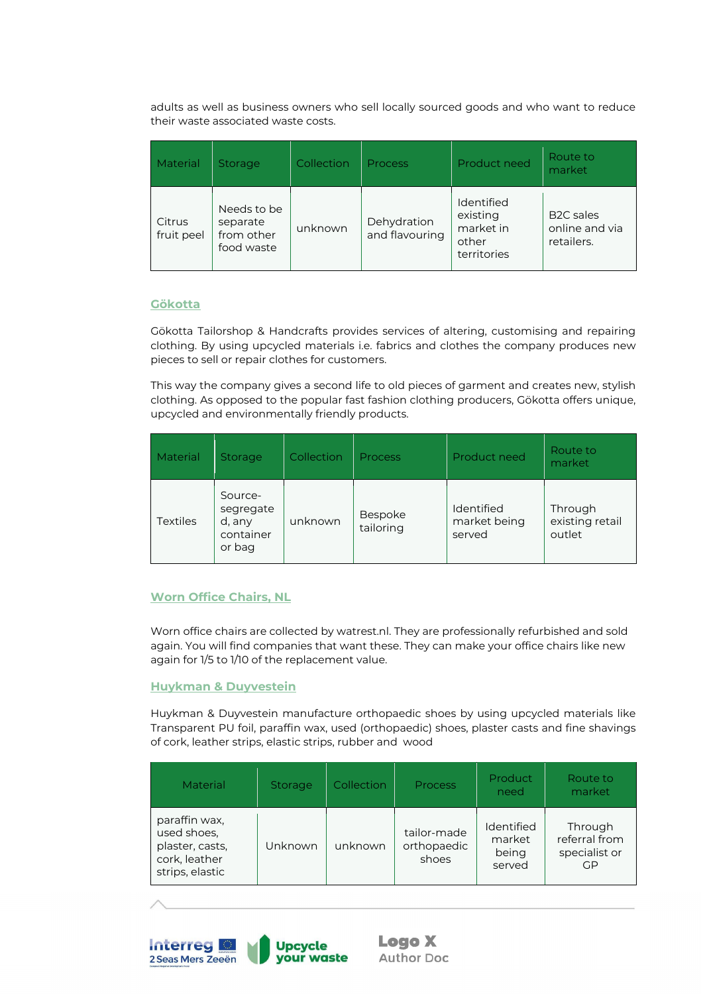adults as well as business owners who sell locally sourced goods and who want to reduce their waste associated waste costs.

| Material             | <b>Storage</b>                                      | Collection | <b>Process</b>                | Product need                                                       | Route to<br>market                               |
|----------------------|-----------------------------------------------------|------------|-------------------------------|--------------------------------------------------------------------|--------------------------------------------------|
| Citrus<br>fruit peel | Needs to be<br>separate<br>from other<br>food waste | unknown    | Dehydration<br>and flavouring | <b>Identified</b><br>existing<br>market in<br>other<br>territories | <b>B2C</b> sales<br>online and via<br>retailers. |

### <span id="page-25-0"></span>**Gökotta**

Gökotta Tailorshop & Handcrafts provides services of altering, customising and repairing clothing. By using upcycled materials i.e. fabrics and clothes the company produces new pieces to sell or repair clothes for customers.

This way the company gives a second life to old pieces of garment and creates new, stylish clothing. As opposed to the popular fast fashion clothing producers, Gökotta offers unique, upcycled and environmentally friendly products.

| Material        | Storage                                               | Collection | <b>Process</b>       | Product need                                | Route to<br>market                   |
|-----------------|-------------------------------------------------------|------------|----------------------|---------------------------------------------|--------------------------------------|
| <b>Textiles</b> | Source-<br>segregate<br>d, any<br>container<br>or bag | unknown    | Bespoke<br>tailoring | <b>Identified</b><br>market being<br>served | Through<br>existing retail<br>outlet |

### <span id="page-25-1"></span>**Worn Office Chairs, NL**

Worn office chairs are collected by watrest.nl. They are professionally refurbished and sold again. You will find companies that want these. They can make your office chairs like new again for 1/5 to 1/10 of the replacement value.

### <span id="page-25-2"></span>**Huykman & Duyvestein**

Huykman & Duyvestein manufacture orthopaedic shoes by using upcycled materials like Transparent PU foil, paraffin wax, used (orthopaedic) shoes, plaster casts and fine shavings of cork, leather strips, elastic strips, rubber and wood

| Material                                                                            | Storage | Collection | <b>Process</b>                      | <b>Product</b><br>need                  | Route to<br>market                              |
|-------------------------------------------------------------------------------------|---------|------------|-------------------------------------|-----------------------------------------|-------------------------------------------------|
| paraffin wax,<br>used shoes,<br>plaster, casts,<br>cork, leather<br>strips, elastic | Unknown | unknown    | tailor-made<br>orthopaedic<br>shoes | Identified<br>market<br>being<br>served | Through<br>referral from<br>specialist or<br>GP |

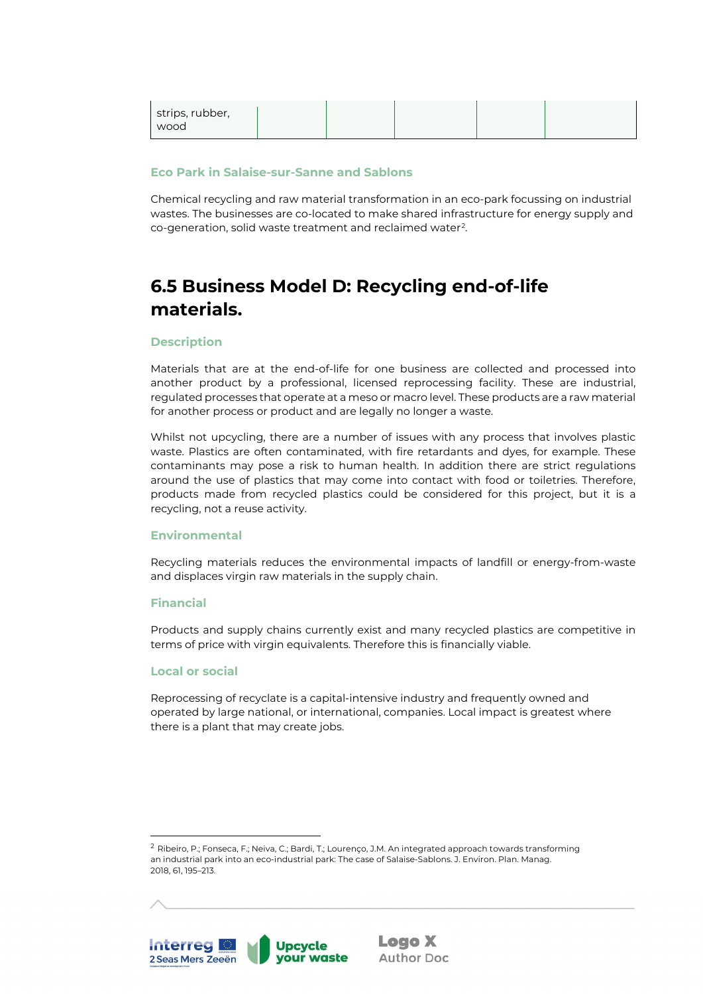| strips, rubber,<br>wood |  |  |  |  |  |
|-------------------------|--|--|--|--|--|
|-------------------------|--|--|--|--|--|

#### <span id="page-26-0"></span>**Eco Park in Salaise-sur-Sanne and Sablons**

Chemical recycling and raw material transformation in an eco-park focussing on industrial wastes. The businesses are co-located to make shared infrastructure for energy supply and co-generation, solid waste treatment and reclaimed water[2](#page-26-6).

# <span id="page-26-1"></span>**6.5 Business Model D: Recycling end-of-life materials.**

### <span id="page-26-2"></span>**Description**

Materials that are at the end-of-life for one business are collected and processed into another product by a professional, licensed reprocessing facility. These are industrial, regulated processes that operate at a meso or macro level. These products are a raw material for another process or product and are legally no longer a waste.

Whilst not upcycling, there are a number of issues with any process that involves plastic waste. Plastics are often contaminated, with fire retardants and dyes, for example. These contaminants may pose a risk to human health. In addition there are strict regulations around the use of plastics that may come into contact with food or toiletries. Therefore, products made from recycled plastics could be considered for this project, but it is a recycling, not a reuse activity.

### <span id="page-26-3"></span>**Environmental**

Recycling materials reduces the environmental impacts of landfill or energy-from-waste and displaces virgin raw materials in the supply chain.

### <span id="page-26-4"></span>**Financial**

Products and supply chains currently exist and many recycled plastics are competitive in terms of price with virgin equivalents. Therefore this is financially viable.

#### <span id="page-26-5"></span>**Local or social**

Reprocessing of recyclate is a capital-intensive industry and frequently owned and operated by large national, or international, companies. Local impact is greatest where there is a plant that may create jobs.



<span id="page-26-6"></span><sup>2</sup> Ribeiro, P.; Fonseca, F.; Neiva, C.; Bardi, T.; Lourenço, J.M. An integrated approach towards transforming an industrial park into an eco-industrial park: The case of Salaise-Sablons. J. Environ. Plan. Manag. 2018, 61, 195–213.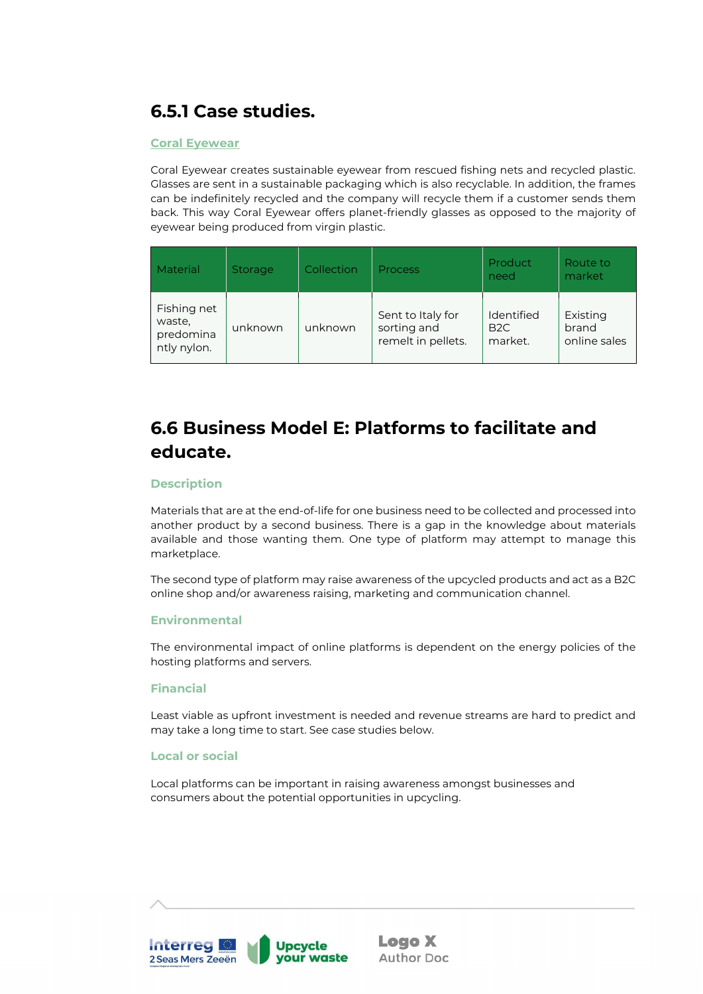# <span id="page-27-0"></span>**6.5.1 Case studies.**

### <span id="page-27-1"></span>**Coral Eyewear**

Coral Eyewear creates sustainable eyewear from rescued fishing nets and recycled plastic. Glasses are sent in a sustainable packaging which is also recyclable. In addition, the frames can be indefinitely recycled and the company will recycle them if a customer sends them back. This way Coral Eyewear offers planet-friendly glasses as opposed to the majority of eyewear being produced from virgin plastic.

| Material                                          | <b>Storage</b> | Collection | <b>Process</b>                                         | <b>Product</b><br>need                   | Route to<br>market                |
|---------------------------------------------------|----------------|------------|--------------------------------------------------------|------------------------------------------|-----------------------------------|
| Fishing net<br>waste,<br>predomina<br>ntly nylon. | unknown        | unknown    | Sent to Italy for<br>sorting and<br>remelt in pellets. | Identified<br>B <sub>2C</sub><br>market. | Existing<br>brand<br>online sales |

# <span id="page-27-2"></span>**6.6 Business Model E: Platforms to facilitate and educate.**

### <span id="page-27-3"></span>**Description**

Materials that are at the end-of-life for one business need to be collected and processed into another product by a second business. There is a gap in the knowledge about materials available and those wanting them. One type of platform may attempt to manage this marketplace.

The second type of platform may raise awareness of the upcycled products and act as a B2C online shop and/or awareness raising, marketing and communication channel.

#### <span id="page-27-4"></span>**Environmental**

The environmental impact of online platforms is dependent on the energy policies of the hosting platforms and servers.

#### <span id="page-27-5"></span>**Financial**

Least viable as upfront investment is needed and revenue streams are hard to predict and may take a long time to start. See case studies below.

#### <span id="page-27-6"></span>**Local or social**

Local platforms can be important in raising awareness amongst businesses and consumers about the potential opportunities in upcycling.

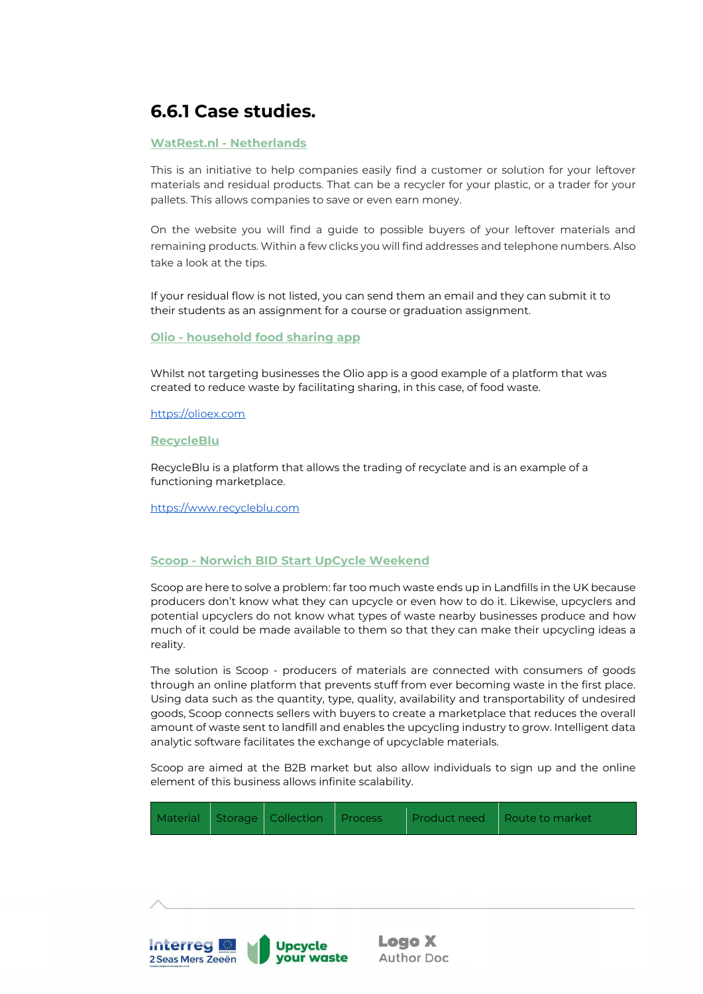# <span id="page-28-0"></span>**6.6.1 Case studies.**

### <span id="page-28-1"></span>**WatRest.nl - Netherlands**

This is an initiative to help companies easily find a customer or solution for your leftover materials and residual products. That can be a recycler for your plastic, or a trader for your pallets. This allows companies to save or even earn money.

On the website you will find a guide to possible buyers of your leftover materials and remaining products. Within a few clicks you will find addresses and telephone numbers. Also take a look at the tips.

If your residual flow is not listed, you can send them an email and they can submit it to their students as an assignment for a course or graduation assignment.

#### **Olio - household food sharing app**

Whilst not targeting businesses the Olio app is a good example of a platform that was created to reduce waste by facilitating sharing, in this case, of food waste.

[https://olioex.com](https://olioex.com/)

<span id="page-28-2"></span>**RecycleBlu**

RecycleBlu is a platform that allows the trading of recyclate and is an example of a functioning marketplace.

[https://www.recycleblu.com](https://www.recycleblu.com/)

### <span id="page-28-3"></span>**Scoop - Norwich BID Start UpCycle Weekend**

Scoop are here to solve a problem: far too much waste ends up in Landfills in the UK because producers don't know what they can upcycle or even how to do it. Likewise, upcyclers and potential upcyclers do not know what types of waste nearby businesses produce and how much of it could be made available to them so that they can make their upcycling ideas a reality.

The solution is Scoop - producers of materials are connected with consumers of goods through an online platform that prevents stuff from ever becoming waste in the first place. Using data such as the quantity, type, quality, availability and transportability of undesired goods, Scoop connects sellers with buyers to create a marketplace that reduces the overall amount of waste sent to landfill and enables the upcycling industry to grow. Intelligent data analytic software facilitates the exchange of upcyclable materials.

Scoop are aimed at the B2B market but also allow individuals to sign up and the online element of this business allows infinite scalability.

| Material Storage Collection Process |  |  |  | Product need Route to market |
|-------------------------------------|--|--|--|------------------------------|
|-------------------------------------|--|--|--|------------------------------|

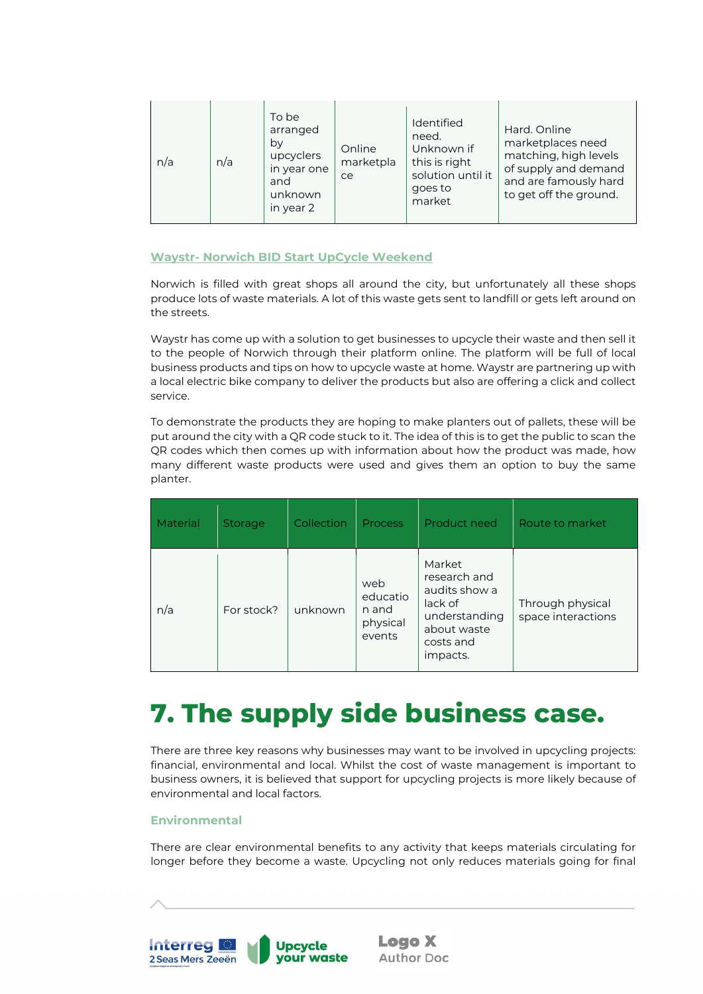| n/a | n/a | To be<br>arranged<br>by<br>upcyclers<br>in year one<br>and<br>unknown<br>in year 2 | Online<br>marketpla<br>ce | <b>Identified</b><br>need.<br>Unknown if<br>this is right<br>solution until it<br>goes to<br>market | Hard, Online<br>marketplaces need<br>matching, high levels<br>of supply and demand<br>and are famously hard<br>to get off the ground. |
|-----|-----|------------------------------------------------------------------------------------|---------------------------|-----------------------------------------------------------------------------------------------------|---------------------------------------------------------------------------------------------------------------------------------------|
|-----|-----|------------------------------------------------------------------------------------|---------------------------|-----------------------------------------------------------------------------------------------------|---------------------------------------------------------------------------------------------------------------------------------------|

### <span id="page-29-0"></span>**Waystr- Norwich BID Start UpCycle Weekend**

Norwich is filled with great shops all around the city, but unfortunately all these shops produce lots of waste materials. A lot of this waste gets sent to landfill or gets left around on the streets.

Waystr has come up with a solution to get businesses to upcycle their waste and then sell it to the people of Norwich through their platform online. The platform will be full of local business products and tips on how to upcycle waste at home. Waystr are partnering up with a local electric bike company to deliver the products but also are offering a click and collect service.

To demonstrate the products they are hoping to make planters out of pallets, these will be put around the city with a QR code stuck to it. The idea of this is to get the public to scan the QR codes which then comes up with information about how the product was made, how many different waste products were used and gives them an option to buy the same planter.

| Material | <b>Storage</b> | Collection | <b>Process</b>                                 | Product need                                                                                                | Route to market                        |
|----------|----------------|------------|------------------------------------------------|-------------------------------------------------------------------------------------------------------------|----------------------------------------|
| n/a      | For stock?     | unknown    | web<br>educatio<br>n and<br>physical<br>events | Market<br>research and<br>audits show a<br>lack of<br>understanding<br>about waste<br>costs and<br>impacts. | Through physical<br>space interactions |

# <span id="page-29-1"></span>**7. The supply side business case.**

There are three key reasons why businesses may want to be involved in upcycling projects: financial, environmental and local. Whilst the cost of waste management is important to business owners, it is believed that support for upcycling projects is more likely because of environmental and local factors.

### <span id="page-29-2"></span>**Environmental**

There are clear environmental benefits to any activity that keeps materials circulating for longer before they become a waste. Upcycling not only reduces materials going for final

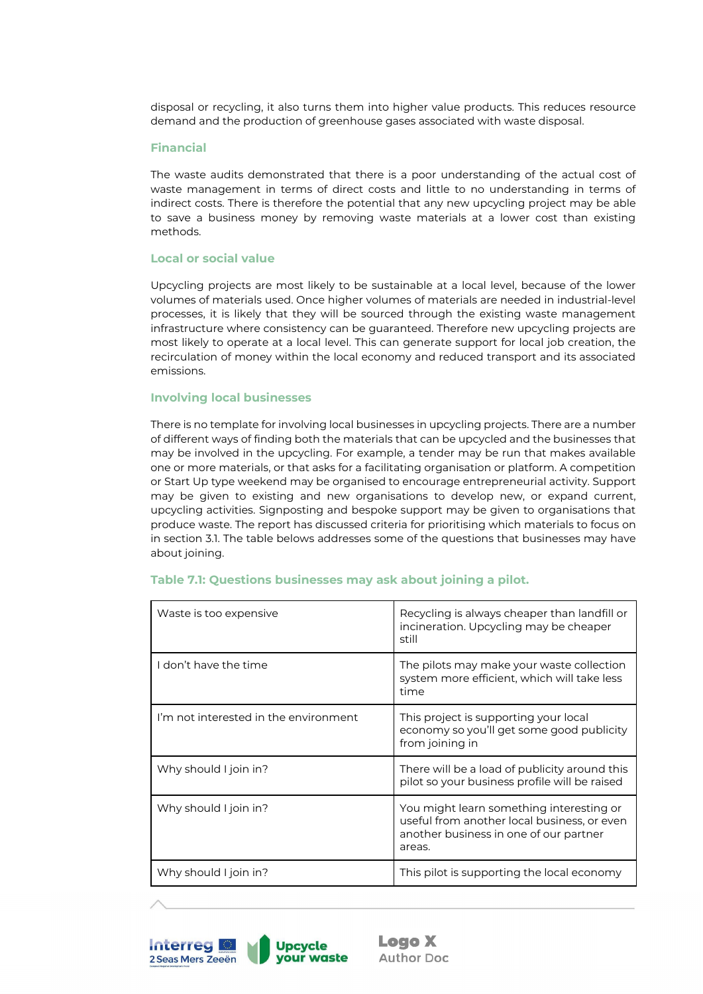disposal or recycling, it also turns them into higher value products. This reduces resource demand and the production of greenhouse gases associated with waste disposal.

#### <span id="page-30-0"></span>**Financial**

The waste audits demonstrated that there is a poor understanding of the actual cost of waste management in terms of direct costs and little to no understanding in terms of indirect costs. There is therefore the potential that any new upcycling project may be able to save a business money by removing waste materials at a lower cost than existing methods.

#### <span id="page-30-1"></span>**Local or social value**

Upcycling projects are most likely to be sustainable at a local level, because of the lower volumes of materials used. Once higher volumes of materials are needed in industrial-level processes, it is likely that they will be sourced through the existing waste management infrastructure where consistency can be guaranteed. Therefore new upcycling projects are most likely to operate at a local level. This can generate support for local job creation, the recirculation of money within the local economy and reduced transport and its associated emissions.

#### <span id="page-30-2"></span>**Involving local businesses**

There is no template for involving local businesses in upcycling projects. There are a number of different ways of finding both the materials that can be upcycled and the businesses that may be involved in the upcycling. For example, a tender may be run that makes available one or more materials, or that asks for a facilitating organisation or platform. A competition or Start Up type weekend may be organised to encourage entrepreneurial activity. Support may be given to existing and new organisations to develop new, or expand current, upcycling activities. Signposting and bespoke support may be given to organisations that produce waste. The report has discussed criteria for prioritising which materials to focus on in section 3.1. The table belows addresses some of the questions that businesses may have about joining.

| Waste is too expensive                | Recycling is always cheaper than landfill or<br>incineration. Upcycling may be cheaper<br>still                                             |
|---------------------------------------|---------------------------------------------------------------------------------------------------------------------------------------------|
| I don't have the time                 | The pilots may make your waste collection<br>system more efficient, which will take less<br>time                                            |
| I'm not interested in the environment | This project is supporting your local<br>economy so you'll get some good publicity<br>from joining in                                       |
| Why should I join in?                 | There will be a load of publicity around this<br>pilot so your business profile will be raised                                              |
| Why should I join in?                 | You might learn something interesting or<br>useful from another local business, or even<br>another business in one of our partner<br>areas. |
| Why should I join in?                 | This pilot is supporting the local economy                                                                                                  |

#### <span id="page-30-3"></span>**Table 7.1: Questions businesses may ask about joining a pilot.**